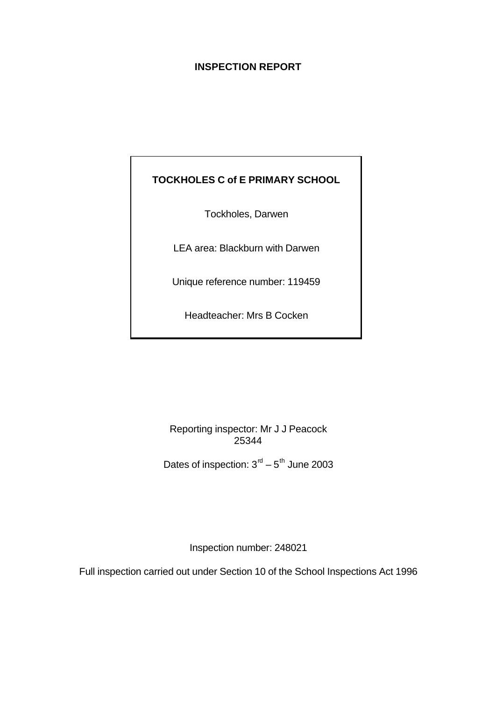## **INSPECTION REPORT**

# **TOCKHOLES C of E PRIMARY SCHOOL**

Tockholes, Darwen

LEA area: Blackburn with Darwen

Unique reference number: 119459

Headteacher: Mrs B Cocken

Reporting inspector: Mr J J Peacock 25344

Dates of inspection:  $3<sup>rd</sup> - 5<sup>th</sup>$  June 2003

Inspection number: 248021

Full inspection carried out under Section 10 of the School Inspections Act 1996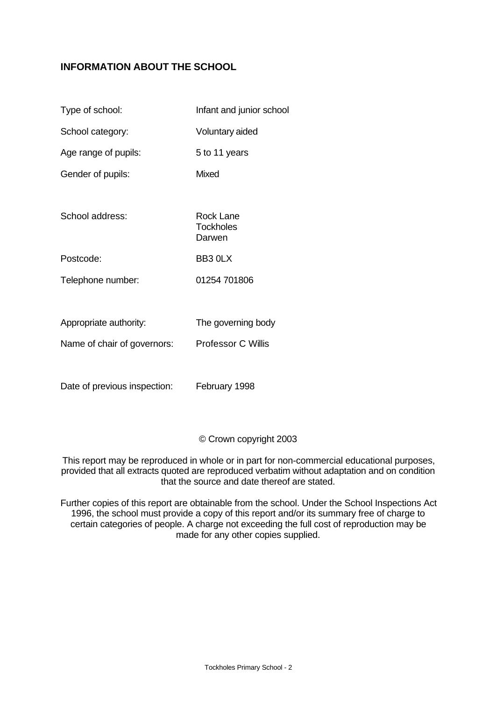## **INFORMATION ABOUT THE SCHOOL**

| Type of school:             | Infant and junior school                |
|-----------------------------|-----------------------------------------|
| School category:            | Voluntary aided                         |
| Age range of pupils:        | 5 to 11 years                           |
| Gender of pupils:           | Mixed                                   |
| School address:             | Rock Lane<br><b>Tockholes</b><br>Darwen |
| Postcode:                   | BB3 0LX                                 |
| Telephone number:           | 01254 701806                            |
|                             |                                         |
| Appropriate authority:      | The governing body                      |
| Name of chair of governors: | <b>Professor C Willis</b>               |

Date of previous inspection: February 1998

### © Crown copyright 2003

This report may be reproduced in whole or in part for non-commercial educational purposes, provided that all extracts quoted are reproduced verbatim without adaptation and on condition that the source and date thereof are stated.

Further copies of this report are obtainable from the school. Under the School Inspections Act 1996, the school must provide a copy of this report and/or its summary free of charge to certain categories of people. A charge not exceeding the full cost of reproduction may be made for any other copies supplied.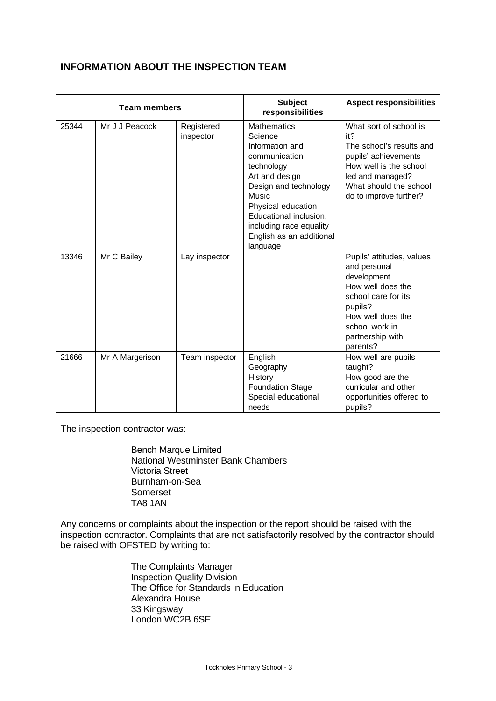# **INFORMATION ABOUT THE INSPECTION TEAM**

| <b>Team members</b> |                 |                         | <b>Subject</b><br>responsibilities                                                                                                                                                                                                                     | <b>Aspect responsibilities</b>                                                                                                                                                         |
|---------------------|-----------------|-------------------------|--------------------------------------------------------------------------------------------------------------------------------------------------------------------------------------------------------------------------------------------------------|----------------------------------------------------------------------------------------------------------------------------------------------------------------------------------------|
| 25344               | Mr J J Peacock  | Registered<br>inspector | <b>Mathematics</b><br>Science<br>Information and<br>communication<br>technology<br>Art and design<br>Design and technology<br>Music<br>Physical education<br>Educational inclusion,<br>including race equality<br>English as an additional<br>language | What sort of school is<br>it?<br>The school's results and<br>pupils' achievements<br>How well is the school<br>led and managed?<br>What should the school<br>do to improve further?    |
| 13346               | Mr C Bailey     | Lay inspector           |                                                                                                                                                                                                                                                        | Pupils' attitudes, values<br>and personal<br>development<br>How well does the<br>school care for its<br>pupils?<br>How well does the<br>school work in<br>partnership with<br>parents? |
| 21666               | Mr A Margerison | Team inspector          | English<br>Geography<br>History<br><b>Foundation Stage</b><br>Special educational<br>needs                                                                                                                                                             | How well are pupils<br>taught?<br>How good are the<br>curricular and other<br>opportunities offered to<br>pupils?                                                                      |

The inspection contractor was:

Bench Marque Limited National Westminster Bank Chambers Victoria Street Burnham-on-Sea Somerset TA8 1AN

Any concerns or complaints about the inspection or the report should be raised with the inspection contractor. Complaints that are not satisfactorily resolved by the contractor should be raised with OFSTED by writing to:

> The Complaints Manager Inspection Quality Division The Office for Standards in Education Alexandra House 33 Kingsway London WC2B 6SE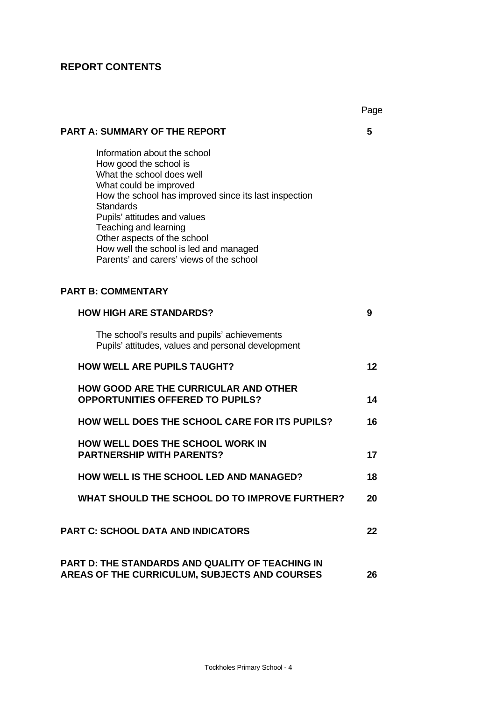# **REPORT CONTENTS**

|                                                                                                                                                                                                                                                                                                                                                                          | Page |
|--------------------------------------------------------------------------------------------------------------------------------------------------------------------------------------------------------------------------------------------------------------------------------------------------------------------------------------------------------------------------|------|
| <b>PART A: SUMMARY OF THE REPORT</b>                                                                                                                                                                                                                                                                                                                                     | 5    |
| Information about the school<br>How good the school is<br>What the school does well<br>What could be improved<br>How the school has improved since its last inspection<br><b>Standards</b><br>Pupils' attitudes and values<br>Teaching and learning<br>Other aspects of the school<br>How well the school is led and managed<br>Parents' and carers' views of the school |      |
| <b>PART B: COMMENTARY</b>                                                                                                                                                                                                                                                                                                                                                |      |
| <b>HOW HIGH ARE STANDARDS?</b>                                                                                                                                                                                                                                                                                                                                           | 9    |
| The school's results and pupils' achievements<br>Pupils' attitudes, values and personal development                                                                                                                                                                                                                                                                      |      |
| <b>HOW WELL ARE PUPILS TAUGHT?</b>                                                                                                                                                                                                                                                                                                                                       | 12   |
| <b>HOW GOOD ARE THE CURRICULAR AND OTHER</b><br><b>OPPORTUNITIES OFFERED TO PUPILS?</b>                                                                                                                                                                                                                                                                                  | 14   |
| <b>HOW WELL DOES THE SCHOOL CARE FOR ITS PUPILS?</b>                                                                                                                                                                                                                                                                                                                     | 16   |
| <b>HOW WELL DOES THE SCHOOL WORK IN</b><br><b>PARTNERSHIP WITH PARENTS?</b>                                                                                                                                                                                                                                                                                              | 17   |
| HOW WELL IS THE SCHOOL LED AND MANAGED?                                                                                                                                                                                                                                                                                                                                  | 18   |
| WHAT SHOULD THE SCHOOL DO TO IMPROVE FURTHER?                                                                                                                                                                                                                                                                                                                            | 20   |
| <b>PART C: SCHOOL DATA AND INDICATORS</b>                                                                                                                                                                                                                                                                                                                                | 22   |
| <b>PART D: THE STANDARDS AND QUALITY OF TEACHING IN</b><br>AREAS OF THE CURRICULUM, SUBJECTS AND COURSES                                                                                                                                                                                                                                                                 | 26   |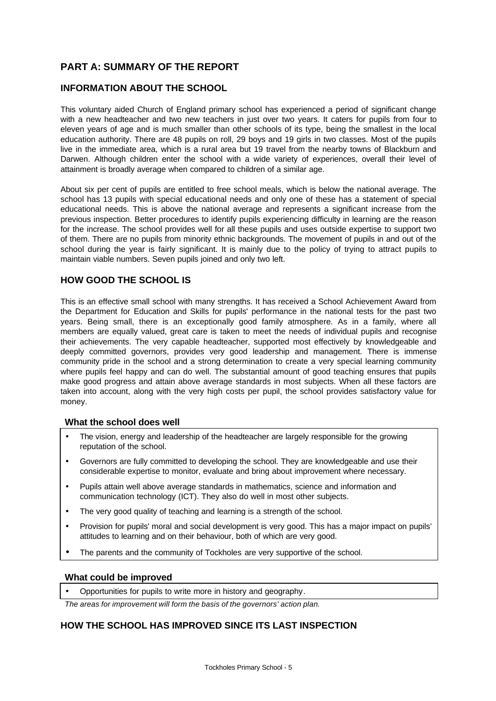# **PART A: SUMMARY OF THE REPORT**

## **INFORMATION ABOUT THE SCHOOL**

This voluntary aided Church of England primary school has experienced a period of significant change with a new headteacher and two new teachers in just over two years. It caters for pupils from four to eleven years of age and is much smaller than other schools of its type, being the smallest in the local education authority. There are 48 pupils on roll, 29 boys and 19 girls in two classes. Most of the pupils live in the immediate area, which is a rural area but 19 travel from the nearby towns of Blackburn and Darwen. Although children enter the school with a wide variety of experiences, overall their level of attainment is broadly average when compared to children of a similar age.

About six per cent of pupils are entitled to free school meals, which is below the national average. The school has 13 pupils with special educational needs and only one of these has a statement of special educational needs. This is above the national average and represents a significant increase from the previous inspection. Better procedures to identify pupils experiencing difficulty in learning are the reason for the increase. The school provides well for all these pupils and uses outside expertise to support two of them. There are no pupils from minority ethnic backgrounds. The movement of pupils in and out of the school during the year is fairly significant. It is mainly due to the policy of trying to attract pupils to maintain viable numbers. Seven pupils joined and only two left.

### **HOW GOOD THE SCHOOL IS**

This is an effective small school with many strengths. It has received a School Achievement Award from the Department for Education and Skills for pupils' performance in the national tests for the past two years. Being small, there is an exceptionally good family atmosphere. As in a family, where all members are equally valued, great care is taken to meet the needs of individual pupils and recognise their achievements. The very capable headteacher, supported most effectively by knowledgeable and deeply committed governors, provides very good leadership and management. There is immense community pride in the school and a strong determination to create a very special learning community where pupils feel happy and can do well. The substantial amount of good teaching ensures that pupils make good progress and attain above average standards in most subjects. When all these factors are taken into account, along with the very high costs per pupil, the school provides satisfactory value for money.

### **What the school does well**

- The vision, energy and leadership of the headteacher are largely responsible for the growing reputation of the school.
- Governors are fully committed to developing the school. They are knowledgeable and use their considerable expertise to monitor, evaluate and bring about improvement where necessary.
- Pupils attain well above average standards in mathematics, science and information and communication technology (ICT). They also do well in most other subjects.
- The very good quality of teaching and learning is a strength of the school.
- Provision for pupils' moral and social development is very good. This has a major impact on pupils' attitudes to learning and on their behaviour, both of which are very good.
- The parents and the community of Tockholes are very supportive of the school.

### **What could be improved**

• Opportunities for pupils to write more in history and geography.

*The areas for improvement will form the basis of the governors' action plan.*

## **HOW THE SCHOOL HAS IMPROVED SINCE ITS LAST INSPECTION**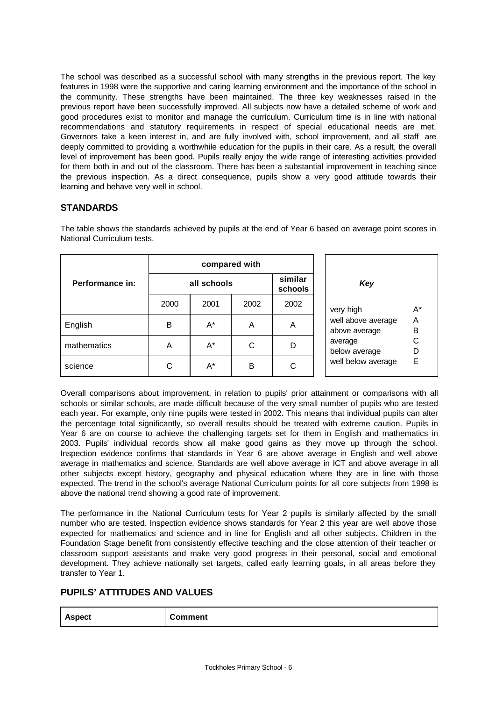The school was described as a successful school with many strengths in the previous report. The key features in 1998 were the supportive and caring learning environment and the importance of the school in the community. These strengths have been maintained. The three key weaknesses raised in the previous report have been successfully improved. All subjects now have a detailed scheme of work and good procedures exist to monitor and manage the curriculum. Curriculum time is in line with national recommendations and statutory requirements in respect of special educational needs are met. Governors take a keen interest in, and are fully involved with, school improvement, and all staff are deeply committed to providing a worthwhile education for the pupils in their care. As a result, the overall level of improvement has been good. Pupils really enjoy the wide range of interesting activities provided for them both in and out of the classroom. There has been a substantial improvement in teaching since the previous inspection. As a direct consequence, pupils show a very good attitude towards their learning and behave very well in school.

### **STANDARDS**

|                 | compared with |       |      |                    |                                               |
|-----------------|---------------|-------|------|--------------------|-----------------------------------------------|
| Performance in: | all schools   |       |      | similar<br>schools | Key                                           |
|                 | 2000          | 2001  | 2002 | 2002               | $A^*$<br>very high                            |
| English         | в             | $A^*$ | A    | A                  | well above average<br>A<br>B<br>above average |
| mathematics     | A             | A*    | C    | D                  | С<br>average<br>D<br>below average            |
| science         | С             | A*    | В    | С                  | E<br>well below average                       |

The table shows the standards achieved by pupils at the end of Year 6 based on average point scores in National Curriculum tests.

Overall comparisons about improvement, in relation to pupils' prior attainment or comparisons with all schools or similar schools, are made difficult because of the very small number of pupils who are tested each year. For example, only nine pupils were tested in 2002. This means that individual pupils can alter the percentage total significantly, so overall results should be treated with extreme caution. Pupils in Year 6 are on course to achieve the challenging targets set for them in English and mathematics in 2003. Pupils' individual records show all make good gains as they move up through the school. Inspection evidence confirms that standards in Year 6 are above average in English and well above average in mathematics and science. Standards are well above average in ICT and above average in all other subjects except history, geography and physical education where they are in line with those expected. The trend in the school's average National Curriculum points for all core subjects from 1998 is above the national trend showing a good rate of improvement.

The performance in the National Curriculum tests for Year 2 pupils is similarly affected by the small number who are tested. Inspection evidence shows standards for Year 2 this year are well above those expected for mathematics and science and in line for English and all other subjects. Children in the Foundation Stage benefit from consistently effective teaching and the close attention of their teacher or classroom support assistants and make very good progress in their personal, social and emotional development. They achieve nationally set targets, called early learning goals, in all areas before they transfer to Year 1.

## **PUPILS' ATTITUDES AND VALUES**

| <b>Aspect</b> | Comment |
|---------------|---------|
|---------------|---------|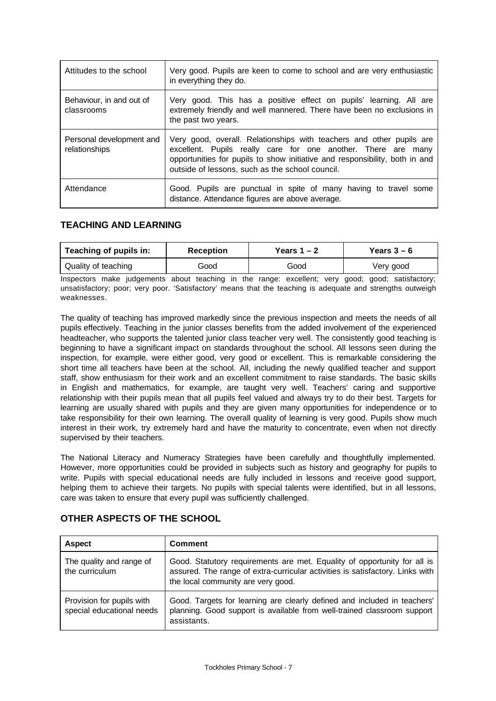| Attitudes to the school                   | Very good. Pupils are keen to come to school and are very enthusiastic<br>in everything they do.                                                                                                                                                                           |
|-------------------------------------------|----------------------------------------------------------------------------------------------------------------------------------------------------------------------------------------------------------------------------------------------------------------------------|
| Behaviour, in and out of<br>classrooms    | Very good. This has a positive effect on pupils' learning. All are<br>extremely friendly and well mannered. There have been no exclusions in<br>the past two years.                                                                                                        |
| Personal development and<br>relationships | Very good, overall. Relationships with teachers and other pupils are<br>excellent. Pupils really care for one another. There are<br>many<br>opportunities for pupils to show initiative and responsibility, both in and<br>outside of lessons, such as the school council. |
| Attendance                                | Good. Pupils are punctual in spite of many having to travel some<br>distance. Attendance figures are above average.                                                                                                                                                        |

### **TEACHING AND LEARNING**

| Teaching of pupils in: | Reception | Years 1 – 2 | Years $3-6$ |
|------------------------|-----------|-------------|-------------|
| Quality of teaching    | Good      | Good        | Very good   |

Inspectors make judgements about teaching in the range: excellent; very good; good; satisfactory; unsatisfactory; poor; very poor. 'Satisfactory' means that the teaching is adequate and strengths outweigh weaknesses.

The quality of teaching has improved markedly since the previous inspection and meets the needs of all pupils effectively. Teaching in the junior classes benefits from the added involvement of the experienced headteacher, who supports the talented junior class teacher very well. The consistently good teaching is beginning to have a significant impact on standards throughout the school. All lessons seen during the inspection, for example, were either good, very good or excellent. This is remarkable considering the short time all teachers have been at the school. All, including the newly qualified teacher and support staff, show enthusiasm for their work and an excellent commitment to raise standards. The basic skills in English and mathematics, for example, are taught very well. Teachers' caring and supportive relationship with their pupils mean that all pupils feel valued and always try to do their best. Targets for learning are usually shared with pupils and they are given many opportunities for independence or to take responsibility for their own learning. The overall quality of learning is very good. Pupils show much interest in their work, try extremely hard and have the maturity to concentrate, even when not directly supervised by their teachers.

The National Literacy and Numeracy Strategies have been carefully and thoughtfully implemented. However, more opportunities could be provided in subjects such as history and geography for pupils to write. Pupils with special educational needs are fully included in lessons and receive good support, helping them to achieve their targets. No pupils with special talents were identified, but in all lessons, care was taken to ensure that every pupil was sufficiently challenged.

| <b>Aspect</b>                                          | <b>Comment</b>                                                                                                                                                                                  |
|--------------------------------------------------------|-------------------------------------------------------------------------------------------------------------------------------------------------------------------------------------------------|
| The quality and range of<br>the curriculum             | Good. Statutory requirements are met. Equality of opportunity for all is<br>assured. The range of extra-curricular activities is satisfactory. Links with<br>the local community are very good. |
| Provision for pupils with<br>special educational needs | Good. Targets for learning are clearly defined and included in teachers'<br>planning. Good support is available from well-trained classroom support<br>assistants.                              |

## **OTHER ASPECTS OF THE SCHOOL**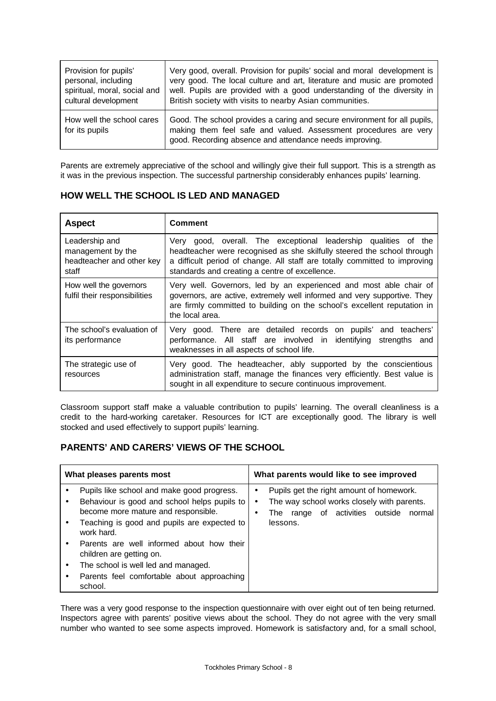| Provision for pupils'                       | Very good, overall. Provision for pupils' social and moral development is                                                                                                                                |  |
|---------------------------------------------|----------------------------------------------------------------------------------------------------------------------------------------------------------------------------------------------------------|--|
| personal, including                         | very good. The local culture and art, literature and music are promoted                                                                                                                                  |  |
| spiritual, moral, social and                | well. Pupils are provided with a good understanding of the diversity in                                                                                                                                  |  |
| cultural development                        | British society with visits to nearby Asian communities.                                                                                                                                                 |  |
| How well the school cares<br>for its pupils | Good. The school provides a caring and secure environment for all pupils,<br>making them feel safe and valued. Assessment procedures are very<br>good. Recording absence and attendance needs improving. |  |

Parents are extremely appreciative of the school and willingly give their full support. This is a strength as it was in the previous inspection. The successful partnership considerably enhances pupils' learning.

| <b>HOW WELL THE SCHOOL IS LED AND MANAGED</b> |  |
|-----------------------------------------------|--|
|                                               |  |

| <b>Aspect</b>                                                             | <b>Comment</b>                                                                                                                                                                                                                                                                |  |  |
|---------------------------------------------------------------------------|-------------------------------------------------------------------------------------------------------------------------------------------------------------------------------------------------------------------------------------------------------------------------------|--|--|
| Leadership and<br>management by the<br>headteacher and other key<br>staff | good, overall. The exceptional leadership qualities of the<br>Very<br>headteacher were recognised as she skilfully steered the school through<br>a difficult period of change. All staff are totally committed to improving<br>standards and creating a centre of excellence. |  |  |
| How well the governors<br>fulfil their responsibilities                   | Very well. Governors, led by an experienced and most able chair of<br>governors, are active, extremely well informed and very supportive. They<br>are firmly committed to building on the school's excellent reputation in<br>the local area.                                 |  |  |
| The school's evaluation of<br>its performance                             | Very good. There are detailed records on pupils' and teachers'<br>performance. All staff are involved in identifying strengths and<br>weaknesses in all aspects of school life.                                                                                               |  |  |
| The strategic use of<br>resources                                         | Very good. The headteacher, ably supported by the conscientious<br>administration staff, manage the finances very efficiently. Best value is<br>sought in all expenditure to secure continuous improvement.                                                                   |  |  |

Classroom support staff make a valuable contribution to pupils' learning. The overall cleanliness is a credit to the hard-working caretaker. Resources for ICT are exceptionally good. The library is well stocked and used effectively to support pupils' learning.

# **PARENTS' AND CARERS' VIEWS OF THE SCHOOL**

| What pleases parents most |                                                                                     | What parents would like to see improved |                                                                                               |  |
|---------------------------|-------------------------------------------------------------------------------------|-----------------------------------------|-----------------------------------------------------------------------------------------------|--|
|                           | Pupils like school and make good progress.                                          | ٠                                       | Pupils get the right amount of homework.                                                      |  |
|                           | Behaviour is good and school helps pupils to<br>become more mature and responsible. |                                         | The way school works closely with parents.<br>of activities outside<br>normal<br>The<br>range |  |
|                           | Teaching is good and pupils are expected to<br>work hard.                           |                                         | lessons.                                                                                      |  |
|                           | Parents are well informed about how their<br>children are getting on.               |                                         |                                                                                               |  |
|                           | The school is well led and managed.                                                 |                                         |                                                                                               |  |
|                           | Parents feel comfortable about approaching<br>school.                               |                                         |                                                                                               |  |

There was a very good response to the inspection questionnaire with over eight out of ten being returned. Inspectors agree with parents' positive views about the school. They do not agree with the very small number who wanted to see some aspects improved. Homework is satisfactory and, for a small school,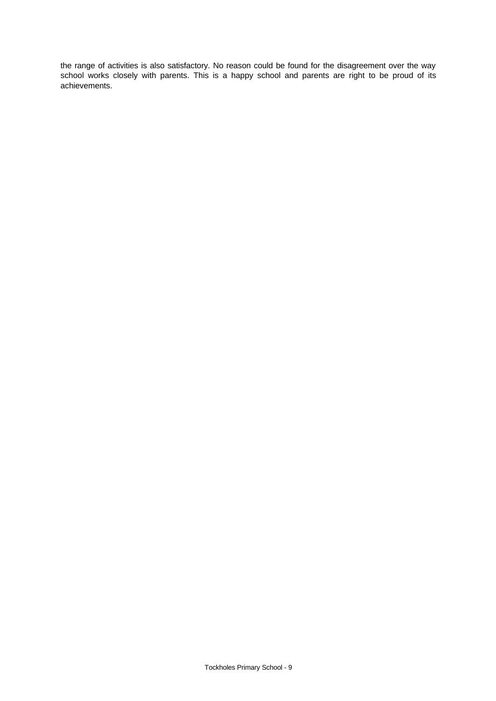the range of activities is also satisfactory. No reason could be found for the disagreement over the way school works closely with parents. This is a happy school and parents are right to be proud of its achievements.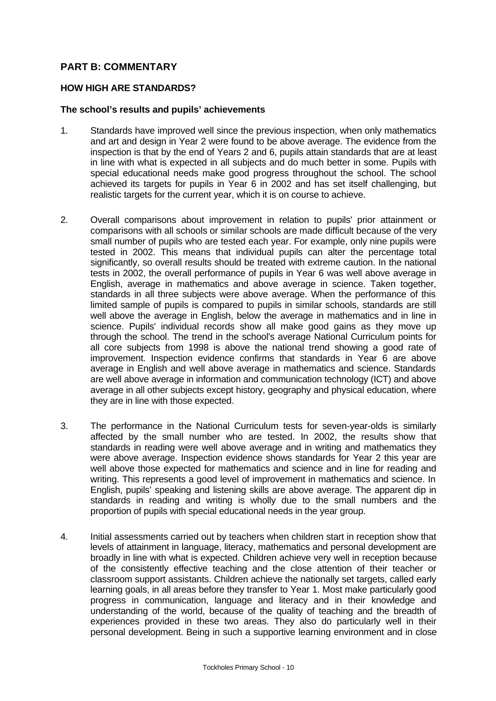## **PART B: COMMENTARY**

### **HOW HIGH ARE STANDARDS?**

### **The school's results and pupils' achievements**

- 1. Standards have improved well since the previous inspection, when only mathematics and art and design in Year 2 were found to be above average. The evidence from the inspection is that by the end of Years 2 and 6, pupils attain standards that are at least in line with what is expected in all subjects and do much better in some. Pupils with special educational needs make good progress throughout the school. The school achieved its targets for pupils in Year 6 in 2002 and has set itself challenging, but realistic targets for the current year, which it is on course to achieve.
- 2. Overall comparisons about improvement in relation to pupils' prior attainment or comparisons with all schools or similar schools are made difficult because of the very small number of pupils who are tested each year. For example, only nine pupils were tested in 2002. This means that individual pupils can alter the percentage total significantly, so overall results should be treated with extreme caution. In the national tests in 2002, the overall performance of pupils in Year 6 was well above average in English, average in mathematics and above average in science. Taken together, standards in all three subjects were above average. When the performance of this limited sample of pupils is compared to pupils in similar schools, standards are still well above the average in English, below the average in mathematics and in line in science. Pupils' individual records show all make good gains as they move up through the school. The trend in the school's average National Curriculum points for all core subjects from 1998 is above the national trend showing a good rate of improvement. Inspection evidence confirms that standards in Year 6 are above average in English and well above average in mathematics and science. Standards are well above average in information and communication technology (ICT) and above average in all other subjects except history, geography and physical education, where they are in line with those expected.
- 3. The performance in the National Curriculum tests for seven-year-olds is similarly affected by the small number who are tested. In 2002, the results show that standards in reading were well above average and in writing and mathematics they were above average. Inspection evidence shows standards for Year 2 this year are well above those expected for mathematics and science and in line for reading and writing. This represents a good level of improvement in mathematics and science. In English, pupils' speaking and listening skills are above average. The apparent dip in standards in reading and writing is wholly due to the small numbers and the proportion of pupils with special educational needs in the year group.
- 4. Initial assessments carried out by teachers when children start in reception show that levels of attainment in language, literacy, mathematics and personal development are broadly in line with what is expected. Children achieve very well in reception because of the consistently effective teaching and the close attention of their teacher or classroom support assistants. Children achieve the nationally set targets, called early learning goals, in all areas before they transfer to Year 1. Most make particularly good progress in communication, language and literacy and in their knowledge and understanding of the world, because of the quality of teaching and the breadth of experiences provided in these two areas. They also do particularly well in their personal development. Being in such a supportive learning environment and in close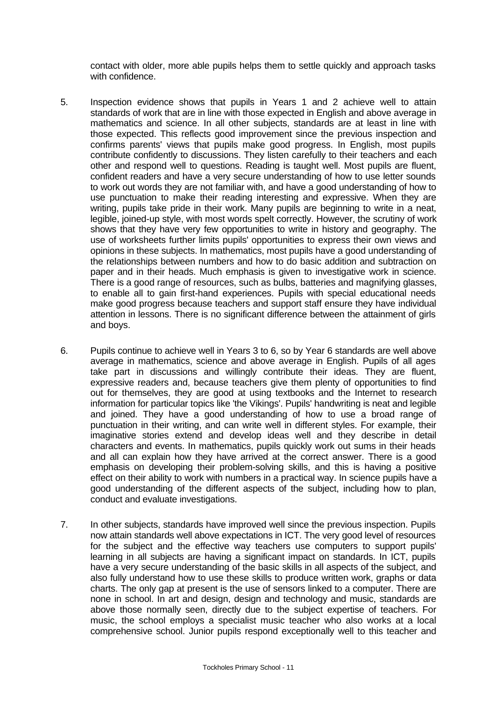contact with older, more able pupils helps them to settle quickly and approach tasks with confidence.

- 5. Inspection evidence shows that pupils in Years 1 and 2 achieve well to attain standards of work that are in line with those expected in English and above average in mathematics and science. In all other subjects, standards are at least in line with those expected. This reflects good improvement since the previous inspection and confirms parents' views that pupils make good progress. In English, most pupils contribute confidently to discussions. They listen carefully to their teachers and each other and respond well to questions. Reading is taught well. Most pupils are fluent, confident readers and have a very secure understanding of how to use letter sounds to work out words they are not familiar with, and have a good understanding of how to use punctuation to make their reading interesting and expressive. When they are writing, pupils take pride in their work. Many pupils are beginning to write in a neat, legible, joined-up style, with most words spelt correctly. However, the scrutiny of work shows that they have very few opportunities to write in history and geography. The use of worksheets further limits pupils' opportunities to express their own views and opinions in these subjects. In mathematics, most pupils have a good understanding of the relationships between numbers and how to do basic addition and subtraction on paper and in their heads. Much emphasis is given to investigative work in science. There is a good range of resources, such as bulbs, batteries and magnifying glasses, to enable all to gain first-hand experiences. Pupils with special educational needs make good progress because teachers and support staff ensure they have individual attention in lessons. There is no significant difference between the attainment of girls and boys.
- 6. Pupils continue to achieve well in Years 3 to 6, so by Year 6 standards are well above average in mathematics, science and above average in English. Pupils of all ages take part in discussions and willingly contribute their ideas. They are fluent, expressive readers and, because teachers give them plenty of opportunities to find out for themselves, they are good at using textbooks and the Internet to research information for particular topics like 'the Vikings'. Pupils' handwriting is neat and legible and joined. They have a good understanding of how to use a broad range of punctuation in their writing, and can write well in different styles. For example, their imaginative stories extend and develop ideas well and they describe in detail characters and events. In mathematics, pupils quickly work out sums in their heads and all can explain how they have arrived at the correct answer. There is a good emphasis on developing their problem-solving skills, and this is having a positive effect on their ability to work with numbers in a practical way. In science pupils have a good understanding of the different aspects of the subject, including how to plan, conduct and evaluate investigations.
- 7. In other subjects, standards have improved well since the previous inspection. Pupils now attain standards well above expectations in ICT. The very good level of resources for the subject and the effective way teachers use computers to support pupils' learning in all subjects are having a significant impact on standards. In ICT, pupils have a very secure understanding of the basic skills in all aspects of the subject, and also fully understand how to use these skills to produce written work, graphs or data charts. The only gap at present is the use of sensors linked to a computer. There are none in school. In art and design, design and technology and music, standards are above those normally seen, directly due to the subject expertise of teachers. For music, the school employs a specialist music teacher who also works at a local comprehensive school. Junior pupils respond exceptionally well to this teacher and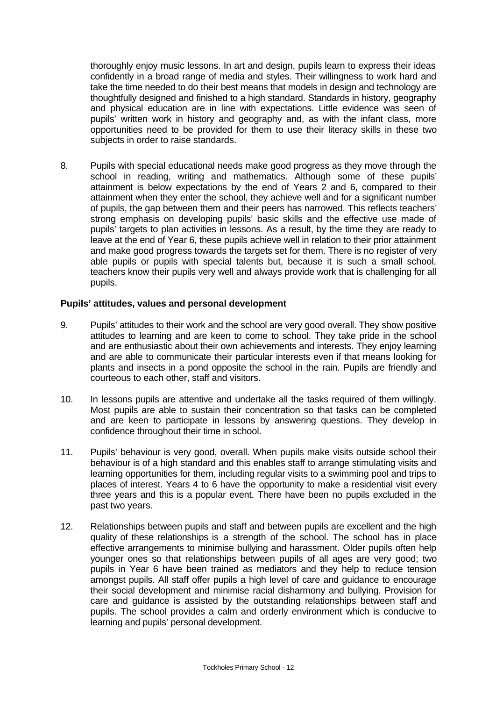thoroughly enjoy music lessons. In art and design, pupils learn to express their ideas confidently in a broad range of media and styles. Their willingness to work hard and take the time needed to do their best means that models in design and technology are thoughtfully designed and finished to a high standard. Standards in history, geography and physical education are in line with expectations. Little evidence was seen of pupils' written work in history and geography and, as with the infant class, more opportunities need to be provided for them to use their literacy skills in these two subjects in order to raise standards.

8. Pupils with special educational needs make good progress as they move through the school in reading, writing and mathematics. Although some of these pupils' attainment is below expectations by the end of Years 2 and 6, compared to their attainment when they enter the school, they achieve well and for a significant number of pupils, the gap between them and their peers has narrowed. This reflects teachers' strong emphasis on developing pupils' basic skills and the effective use made of pupils' targets to plan activities in lessons. As a result, by the time they are ready to leave at the end of Year 6, these pupils achieve well in relation to their prior attainment and make good progress towards the targets set for them. There is no register of very able pupils or pupils with special talents but, because it is such a small school, teachers know their pupils very well and always provide work that is challenging for all pupils.

### **Pupils' attitudes, values and personal development**

- 9. Pupils' attitudes to their work and the school are very good overall. They show positive attitudes to learning and are keen to come to school. They take pride in the school and are enthusiastic about their own achievements and interests. They enjoy learning and are able to communicate their particular interests even if that means looking for plants and insects in a pond opposite the school in the rain. Pupils are friendly and courteous to each other, staff and visitors.
- 10. In lessons pupils are attentive and undertake all the tasks required of them willingly. Most pupils are able to sustain their concentration so that tasks can be completed and are keen to participate in lessons by answering questions. They develop in confidence throughout their time in school.
- 11. Pupils' behaviour is very good, overall. When pupils make visits outside school their behaviour is of a high standard and this enables staff to arrange stimulating visits and learning opportunities for them, including regular visits to a swimming pool and trips to places of interest. Years 4 to 6 have the opportunity to make a residential visit every three years and this is a popular event. There have been no pupils excluded in the past two years.
- 12. Relationships between pupils and staff and between pupils are excellent and the high quality of these relationships is a strength of the school. The school has in place effective arrangements to minimise bullying and harassment. Older pupils often help younger ones so that relationships between pupils of all ages are very good; two pupils in Year 6 have been trained as mediators and they help to reduce tension amongst pupils. All staff offer pupils a high level of care and guidance to encourage their social development and minimise racial disharmony and bullying. Provision for care and guidance is assisted by the outstanding relationships between staff and pupils. The school provides a calm and orderly environment which is conducive to learning and pupils' personal development.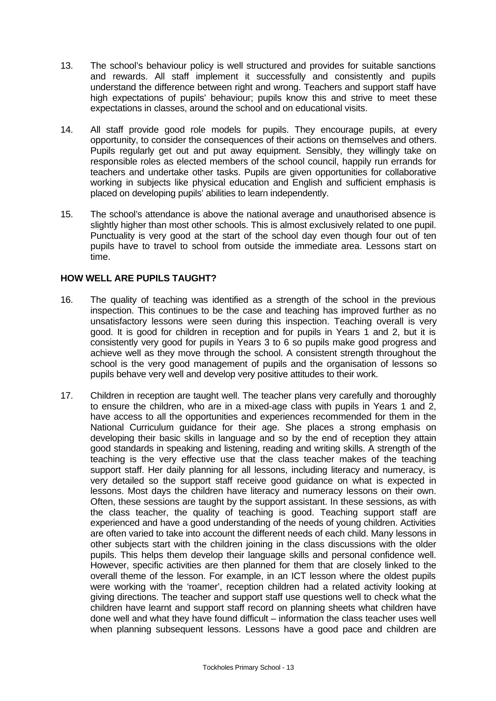- 13. The school's behaviour policy is well structured and provides for suitable sanctions and rewards. All staff implement it successfully and consistently and pupils understand the difference between right and wrong. Teachers and support staff have high expectations of pupils' behaviour; pupils know this and strive to meet these expectations in classes, around the school and on educational visits.
- 14. All staff provide good role models for pupils. They encourage pupils, at every opportunity, to consider the consequences of their actions on themselves and others. Pupils regularly get out and put away equipment. Sensibly, they willingly take on responsible roles as elected members of the school council, happily run errands for teachers and undertake other tasks. Pupils are given opportunities for collaborative working in subjects like physical education and English and sufficient emphasis is placed on developing pupils' abilities to learn independently.
- 15. The school's attendance is above the national average and unauthorised absence is slightly higher than most other schools. This is almost exclusively related to one pupil. Punctuality is very good at the start of the school day even though four out of ten pupils have to travel to school from outside the immediate area. Lessons start on time.

## **HOW WELL ARE PUPILS TAUGHT?**

- 16. The quality of teaching was identified as a strength of the school in the previous inspection. This continues to be the case and teaching has improved further as no unsatisfactory lessons were seen during this inspection. Teaching overall is very good. It is good for children in reception and for pupils in Years 1 and 2, but it is consistently very good for pupils in Years 3 to 6 so pupils make good progress and achieve well as they move through the school. A consistent strength throughout the school is the very good management of pupils and the organisation of lessons so pupils behave very well and develop very positive attitudes to their work.
- 17. Children in reception are taught well. The teacher plans very carefully and thoroughly to ensure the children, who are in a mixed-age class with pupils in Years 1 and 2, have access to all the opportunities and experiences recommended for them in the National Curriculum guidance for their age. She places a strong emphasis on developing their basic skills in language and so by the end of reception they attain good standards in speaking and listening, reading and writing skills. A strength of the teaching is the very effective use that the class teacher makes of the teaching support staff. Her daily planning for all lessons, including literacy and numeracy, is very detailed so the support staff receive good guidance on what is expected in lessons. Most days the children have literacy and numeracy lessons on their own. Often, these sessions are taught by the support assistant. In these sessions, as with the class teacher, the quality of teaching is good. Teaching support staff are experienced and have a good understanding of the needs of young children. Activities are often varied to take into account the different needs of each child. Many lessons in other subjects start with the children joining in the class discussions with the older pupils. This helps them develop their language skills and personal confidence well. However, specific activities are then planned for them that are closely linked to the overall theme of the lesson. For example, in an ICT lesson where the oldest pupils were working with the 'roamer', reception children had a related activity looking at giving directions. The teacher and support staff use questions well to check what the children have learnt and support staff record on planning sheets what children have done well and what they have found difficult – information the class teacher uses well when planning subsequent lessons. Lessons have a good pace and children are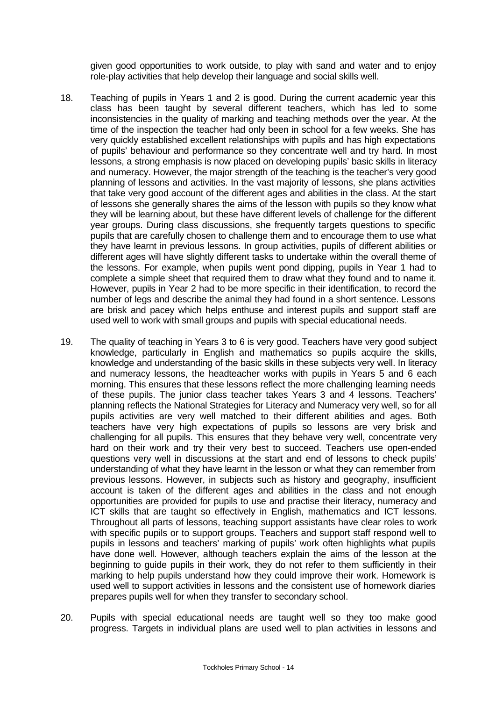given good opportunities to work outside, to play with sand and water and to enjoy role-play activities that help develop their language and social skills well.

- 18. Teaching of pupils in Years 1 and 2 is good. During the current academic year this class has been taught by several different teachers, which has led to some inconsistencies in the quality of marking and teaching methods over the year. At the time of the inspection the teacher had only been in school for a few weeks. She has very quickly established excellent relationships with pupils and has high expectations of pupils' behaviour and performance so they concentrate well and try hard. In most lessons, a strong emphasis is now placed on developing pupils' basic skills in literacy and numeracy. However, the major strength of the teaching is the teacher's very good planning of lessons and activities. In the vast majority of lessons, she plans activities that take very good account of the different ages and abilities in the class. At the start of lessons she generally shares the aims of the lesson with pupils so they know what they will be learning about, but these have different levels of challenge for the different year groups. During class discussions, she frequently targets questions to specific pupils that are carefully chosen to challenge them and to encourage them to use what they have learnt in previous lessons. In group activities, pupils of different abilities or different ages will have slightly different tasks to undertake within the overall theme of the lessons. For example, when pupils went pond dipping, pupils in Year 1 had to complete a simple sheet that required them to draw what they found and to name it. However, pupils in Year 2 had to be more specific in their identification, to record the number of legs and describe the animal they had found in a short sentence. Lessons are brisk and pacey which helps enthuse and interest pupils and support staff are used well to work with small groups and pupils with special educational needs.
- 19. The quality of teaching in Years 3 to 6 is very good. Teachers have very good subject knowledge, particularly in English and mathematics so pupils acquire the skills, knowledge and understanding of the basic skills in these subjects very well. In literacy and numeracy lessons, the headteacher works with pupils in Years 5 and 6 each morning. This ensures that these lessons reflect the more challenging learning needs of these pupils. The junior class teacher takes Years 3 and 4 lessons. Teachers' planning reflects the National Strategies for Literacy and Numeracy very well, so for all pupils activities are very well matched to their different abilities and ages. Both teachers have very high expectations of pupils so lessons are very brisk and challenging for all pupils. This ensures that they behave very well, concentrate very hard on their work and try their very best to succeed. Teachers use open-ended questions very well in discussions at the start and end of lessons to check pupils' understanding of what they have learnt in the lesson or what they can remember from previous lessons. However, in subjects such as history and geography, insufficient account is taken of the different ages and abilities in the class and not enough opportunities are provided for pupils to use and practise their literacy, numeracy and ICT skills that are taught so effectively in English, mathematics and ICT lessons. Throughout all parts of lessons, teaching support assistants have clear roles to work with specific pupils or to support groups. Teachers and support staff respond well to pupils in lessons and teachers' marking of pupils' work often highlights what pupils have done well. However, although teachers explain the aims of the lesson at the beginning to guide pupils in their work, they do not refer to them sufficiently in their marking to help pupils understand how they could improve their work. Homework is used well to support activities in lessons and the consistent use of homework diaries prepares pupils well for when they transfer to secondary school.
- 20. Pupils with special educational needs are taught well so they too make good progress. Targets in individual plans are used well to plan activities in lessons and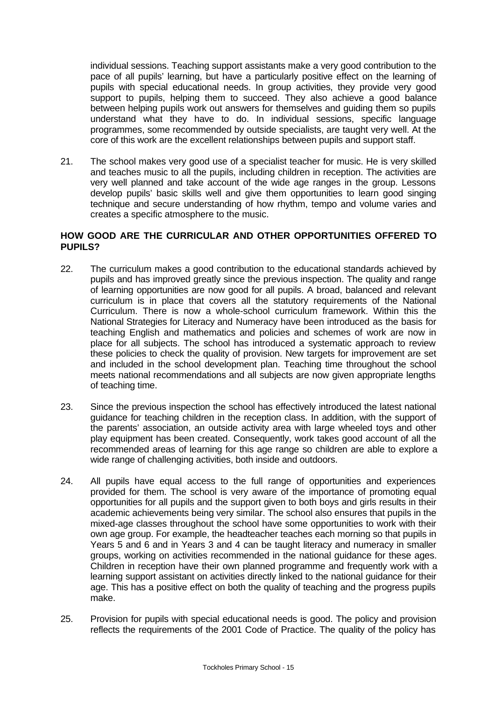individual sessions. Teaching support assistants make a very good contribution to the pace of all pupils' learning, but have a particularly positive effect on the learning of pupils with special educational needs. In group activities, they provide very good support to pupils, helping them to succeed. They also achieve a good balance between helping pupils work out answers for themselves and guiding them so pupils understand what they have to do. In individual sessions, specific language programmes, some recommended by outside specialists, are taught very well. At the core of this work are the excellent relationships between pupils and support staff.

21. The school makes very good use of a specialist teacher for music. He is very skilled and teaches music to all the pupils, including children in reception. The activities are very well planned and take account of the wide age ranges in the group. Lessons develop pupils' basic skills well and give them opportunities to learn good singing technique and secure understanding of how rhythm, tempo and volume varies and creates a specific atmosphere to the music.

## **HOW GOOD ARE THE CURRICULAR AND OTHER OPPORTUNITIES OFFERED TO PUPILS?**

- 22. The curriculum makes a good contribution to the educational standards achieved by pupils and has improved greatly since the previous inspection. The quality and range of learning opportunities are now good for all pupils. A broad, balanced and relevant curriculum is in place that covers all the statutory requirements of the National Curriculum. There is now a whole-school curriculum framework. Within this the National Strategies for Literacy and Numeracy have been introduced as the basis for teaching English and mathematics and policies and schemes of work are now in place for all subjects. The school has introduced a systematic approach to review these policies to check the quality of provision. New targets for improvement are set and included in the school development plan. Teaching time throughout the school meets national recommendations and all subjects are now given appropriate lengths of teaching time.
- 23. Since the previous inspection the school has effectively introduced the latest national guidance for teaching children in the reception class. In addition, with the support of the parents' association, an outside activity area with large wheeled toys and other play equipment has been created. Consequently, work takes good account of all the recommended areas of learning for this age range so children are able to explore a wide range of challenging activities, both inside and outdoors.
- 24. All pupils have equal access to the full range of opportunities and experiences provided for them. The school is very aware of the importance of promoting equal opportunities for all pupils and the support given to both boys and girls results in their academic achievements being very similar. The school also ensures that pupils in the mixed-age classes throughout the school have some opportunities to work with their own age group. For example, the headteacher teaches each morning so that pupils in Years 5 and 6 and in Years 3 and 4 can be taught literacy and numeracy in smaller groups, working on activities recommended in the national guidance for these ages. Children in reception have their own planned programme and frequently work with a learning support assistant on activities directly linked to the national guidance for their age. This has a positive effect on both the quality of teaching and the progress pupils make.
- 25. Provision for pupils with special educational needs is good. The policy and provision reflects the requirements of the 2001 Code of Practice. The quality of the policy has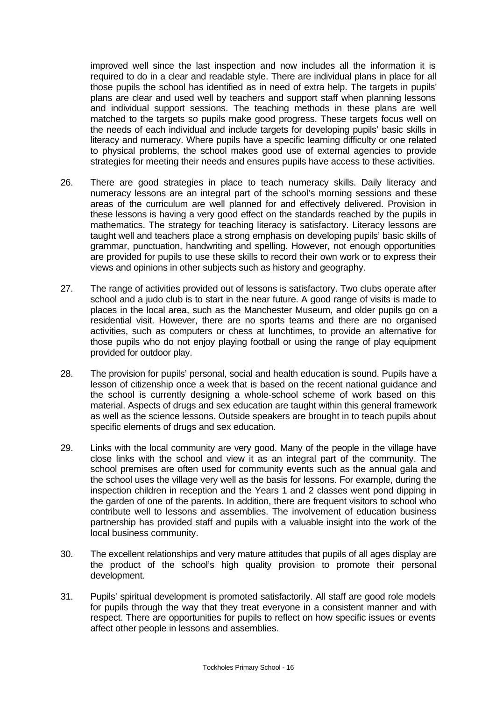improved well since the last inspection and now includes all the information it is required to do in a clear and readable style. There are individual plans in place for all those pupils the school has identified as in need of extra help. The targets in pupils' plans are clear and used well by teachers and support staff when planning lessons and individual support sessions. The teaching methods in these plans are well matched to the targets so pupils make good progress. These targets focus well on the needs of each individual and include targets for developing pupils' basic skills in literacy and numeracy. Where pupils have a specific learning difficulty or one related to physical problems, the school makes good use of external agencies to provide strategies for meeting their needs and ensures pupils have access to these activities.

- 26. There are good strategies in place to teach numeracy skills. Daily literacy and numeracy lessons are an integral part of the school's morning sessions and these areas of the curriculum are well planned for and effectively delivered. Provision in these lessons is having a very good effect on the standards reached by the pupils in mathematics. The strategy for teaching literacy is satisfactory. Literacy lessons are taught well and teachers place a strong emphasis on developing pupils' basic skills of grammar, punctuation, handwriting and spelling. However, not enough opportunities are provided for pupils to use these skills to record their own work or to express their views and opinions in other subjects such as history and geography.
- 27. The range of activities provided out of lessons is satisfactory. Two clubs operate after school and a judo club is to start in the near future. A good range of visits is made to places in the local area, such as the Manchester Museum, and older pupils go on a residential visit. However, there are no sports teams and there are no organised activities, such as computers or chess at lunchtimes, to provide an alternative for those pupils who do not enjoy playing football or using the range of play equipment provided for outdoor play.
- 28. The provision for pupils' personal, social and health education is sound. Pupils have a lesson of citizenship once a week that is based on the recent national guidance and the school is currently designing a whole-school scheme of work based on this material. Aspects of drugs and sex education are taught within this general framework as well as the science lessons. Outside speakers are brought in to teach pupils about specific elements of drugs and sex education.
- 29. Links with the local community are very good. Many of the people in the village have close links with the school and view it as an integral part of the community. The school premises are often used for community events such as the annual gala and the school uses the village very well as the basis for lessons. For example, during the inspection children in reception and the Years 1 and 2 classes went pond dipping in the garden of one of the parents. In addition, there are frequent visitors to school who contribute well to lessons and assemblies. The involvement of education business partnership has provided staff and pupils with a valuable insight into the work of the local business community.
- 30. The excellent relationships and very mature attitudes that pupils of all ages display are the product of the school's high quality provision to promote their personal development.
- 31. Pupils' spiritual development is promoted satisfactorily. All staff are good role models for pupils through the way that they treat everyone in a consistent manner and with respect. There are opportunities for pupils to reflect on how specific issues or events affect other people in lessons and assemblies.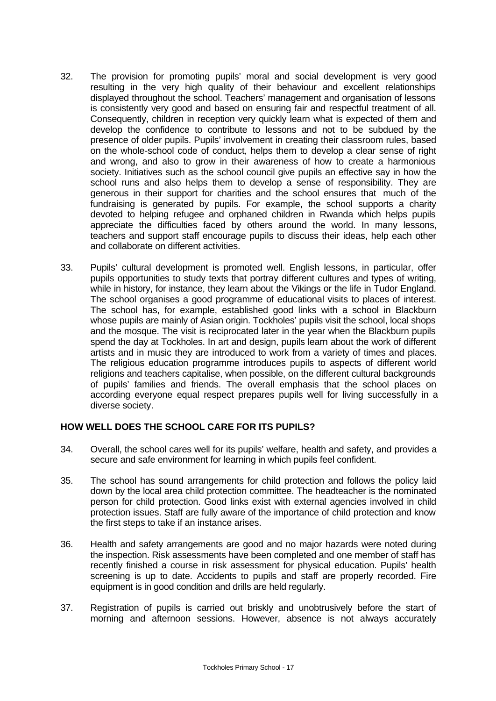- 32. The provision for promoting pupils' moral and social development is very good resulting in the very high quality of their behaviour and excellent relationships displayed throughout the school. Teachers' management and organisation of lessons is consistently very good and based on ensuring fair and respectful treatment of all. Consequently, children in reception very quickly learn what is expected of them and develop the confidence to contribute to lessons and not to be subdued by the presence of older pupils. Pupils' involvement in creating their classroom rules, based on the whole-school code of conduct, helps them to develop a clear sense of right and wrong, and also to grow in their awareness of how to create a harmonious society. Initiatives such as the school council give pupils an effective say in how the school runs and also helps them to develop a sense of responsibility. They are generous in their support for charities and the school ensures that much of the fundraising is generated by pupils. For example, the school supports a charity devoted to helping refugee and orphaned children in Rwanda which helps pupils appreciate the difficulties faced by others around the world. In many lessons, teachers and support staff encourage pupils to discuss their ideas, help each other and collaborate on different activities.
- 33. Pupils' cultural development is promoted well. English lessons, in particular, offer pupils opportunities to study texts that portray different cultures and types of writing, while in history, for instance, they learn about the Vikings or the life in Tudor England. The school organises a good programme of educational visits to places of interest. The school has, for example, established good links with a school in Blackburn whose pupils are mainly of Asian origin. Tockholes' pupils visit the school, local shops and the mosque. The visit is reciprocated later in the year when the Blackburn pupils spend the day at Tockholes. In art and design, pupils learn about the work of different artists and in music they are introduced to work from a variety of times and places. The religious education programme introduces pupils to aspects of different world religions and teachers capitalise, when possible, on the different cultural backgrounds of pupils' families and friends. The overall emphasis that the school places on according everyone equal respect prepares pupils well for living successfully in a diverse society.

### **HOW WELL DOES THE SCHOOL CARE FOR ITS PUPILS?**

- 34. Overall, the school cares well for its pupils' welfare, health and safety, and provides a secure and safe environment for learning in which pupils feel confident.
- 35. The school has sound arrangements for child protection and follows the policy laid down by the local area child protection committee. The headteacher is the nominated person for child protection. Good links exist with external agencies involved in child protection issues. Staff are fully aware of the importance of child protection and know the first steps to take if an instance arises.
- 36. Health and safety arrangements are good and no major hazards were noted during the inspection. Risk assessments have been completed and one member of staff has recently finished a course in risk assessment for physical education. Pupils' health screening is up to date. Accidents to pupils and staff are properly recorded. Fire equipment is in good condition and drills are held regularly.
- 37. Registration of pupils is carried out briskly and unobtrusively before the start of morning and afternoon sessions. However, absence is not always accurately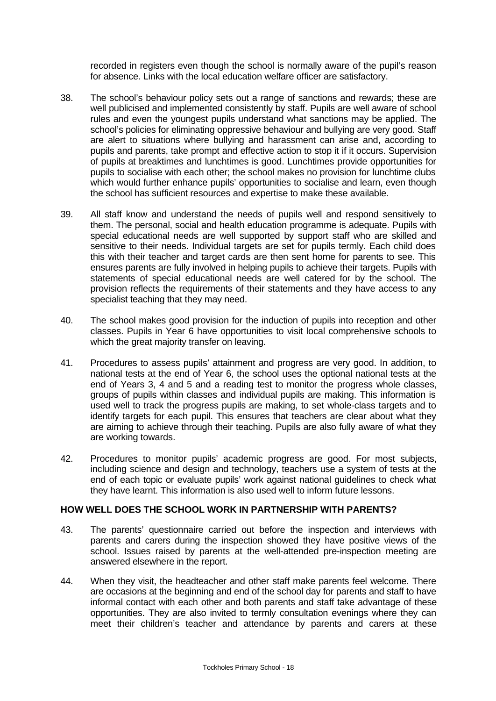recorded in registers even though the school is normally aware of the pupil's reason for absence. Links with the local education welfare officer are satisfactory.

- 38. The school's behaviour policy sets out a range of sanctions and rewards; these are well publicised and implemented consistently by staff. Pupils are well aware of school rules and even the youngest pupils understand what sanctions may be applied. The school's policies for eliminating oppressive behaviour and bullying are very good. Staff are alert to situations where bullying and harassment can arise and, according to pupils and parents, take prompt and effective action to stop it if it occurs. Supervision of pupils at breaktimes and lunchtimes is good. Lunchtimes provide opportunities for pupils to socialise with each other; the school makes no provision for lunchtime clubs which would further enhance pupils' opportunities to socialise and learn, even though the school has sufficient resources and expertise to make these available.
- 39. All staff know and understand the needs of pupils well and respond sensitively to them. The personal, social and health education programme is adequate. Pupils with special educational needs are well supported by support staff who are skilled and sensitive to their needs. Individual targets are set for pupils termly. Each child does this with their teacher and target cards are then sent home for parents to see. This ensures parents are fully involved in helping pupils to achieve their targets. Pupils with statements of special educational needs are well catered for by the school. The provision reflects the requirements of their statements and they have access to any specialist teaching that they may need.
- 40. The school makes good provision for the induction of pupils into reception and other classes. Pupils in Year 6 have opportunities to visit local comprehensive schools to which the great majority transfer on leaving.
- 41. Procedures to assess pupils' attainment and progress are very good. In addition, to national tests at the end of Year 6, the school uses the optional national tests at the end of Years 3, 4 and 5 and a reading test to monitor the progress whole classes, groups of pupils within classes and individual pupils are making. This information is used well to track the progress pupils are making, to set whole-class targets and to identify targets for each pupil. This ensures that teachers are clear about what they are aiming to achieve through their teaching. Pupils are also fully aware of what they are working towards.
- 42. Procedures to monitor pupils' academic progress are good. For most subjects, including science and design and technology, teachers use a system of tests at the end of each topic or evaluate pupils' work against national guidelines to check what they have learnt. This information is also used well to inform future lessons.

### **HOW WELL DOES THE SCHOOL WORK IN PARTNERSHIP WITH PARENTS?**

- 43. The parents' questionnaire carried out before the inspection and interviews with parents and carers during the inspection showed they have positive views of the school. Issues raised by parents at the well-attended pre-inspection meeting are answered elsewhere in the report.
- 44. When they visit, the headteacher and other staff make parents feel welcome. There are occasions at the beginning and end of the school day for parents and staff to have informal contact with each other and both parents and staff take advantage of these opportunities. They are also invited to termly consultation evenings where they can meet their children's teacher and attendance by parents and carers at these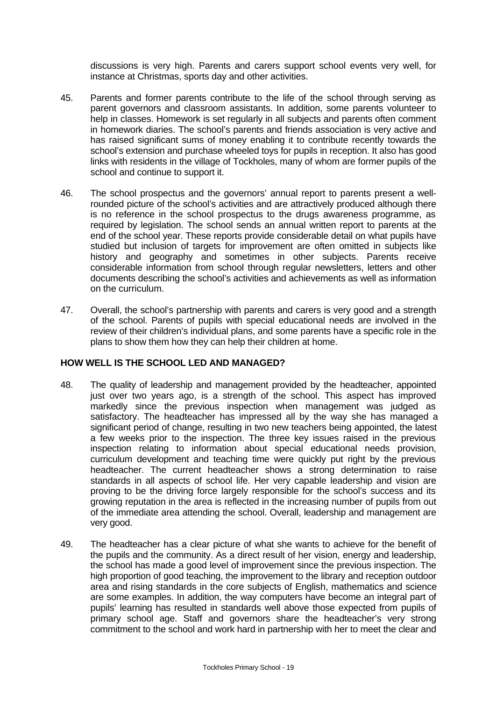discussions is very high. Parents and carers support school events very well, for instance at Christmas, sports day and other activities.

- 45. Parents and former parents contribute to the life of the school through serving as parent governors and classroom assistants. In addition, some parents volunteer to help in classes. Homework is set regularly in all subjects and parents often comment in homework diaries. The school's parents and friends association is very active and has raised significant sums of money enabling it to contribute recently towards the school's extension and purchase wheeled toys for pupils in reception. It also has good links with residents in the village of Tockholes, many of whom are former pupils of the school and continue to support it.
- 46. The school prospectus and the governors' annual report to parents present a wellrounded picture of the school's activities and are attractively produced although there is no reference in the school prospectus to the drugs awareness programme, as required by legislation. The school sends an annual written report to parents at the end of the school year. These reports provide considerable detail on what pupils have studied but inclusion of targets for improvement are often omitted in subjects like history and geography and sometimes in other subjects. Parents receive considerable information from school through regular newsletters, letters and other documents describing the school's activities and achievements as well as information on the curriculum.
- 47. Overall, the school's partnership with parents and carers is very good and a strength of the school. Parents of pupils with special educational needs are involved in the review of their children's individual plans, and some parents have a specific role in the plans to show them how they can help their children at home.

### **HOW WELL IS THE SCHOOL LED AND MANAGED?**

- 48. The quality of leadership and management provided by the headteacher, appointed just over two years ago, is a strength of the school. This aspect has improved markedly since the previous inspection when management was judged as satisfactory. The headteacher has impressed all by the way she has managed a significant period of change, resulting in two new teachers being appointed, the latest a few weeks prior to the inspection. The three key issues raised in the previous inspection relating to information about special educational needs provision, curriculum development and teaching time were quickly put right by the previous headteacher. The current headteacher shows a strong determination to raise standards in all aspects of school life. Her very capable leadership and vision are proving to be the driving force largely responsible for the school's success and its growing reputation in the area is reflected in the increasing number of pupils from out of the immediate area attending the school. Overall, leadership and management are very good.
- 49. The headteacher has a clear picture of what she wants to achieve for the benefit of the pupils and the community. As a direct result of her vision, energy and leadership, the school has made a good level of improvement since the previous inspection. The high proportion of good teaching, the improvement to the library and reception outdoor area and rising standards in the core subjects of English, mathematics and science are some examples. In addition, the way computers have become an integral part of pupils' learning has resulted in standards well above those expected from pupils of primary school age. Staff and governors share the headteacher's very strong commitment to the school and work hard in partnership with her to meet the clear and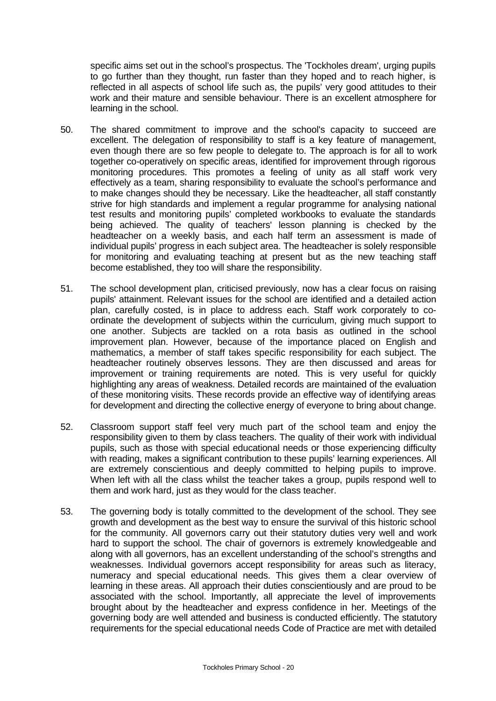specific aims set out in the school's prospectus. The 'Tockholes dream', urging pupils to go further than they thought, run faster than they hoped and to reach higher, is reflected in all aspects of school life such as, the pupils' very good attitudes to their work and their mature and sensible behaviour. There is an excellent atmosphere for learning in the school.

- 50. The shared commitment to improve and the school's capacity to succeed are excellent. The delegation of responsibility to staff is a key feature of management, even though there are so few people to delegate to. The approach is for all to work together co-operatively on specific areas, identified for improvement through rigorous monitoring procedures. This promotes a feeling of unity as all staff work very effectively as a team, sharing responsibility to evaluate the school's performance and to make changes should they be necessary. Like the headteacher, all staff constantly strive for high standards and implement a regular programme for analysing national test results and monitoring pupils' completed workbooks to evaluate the standards being achieved. The quality of teachers' lesson planning is checked by the headteacher on a weekly basis, and each half term an assessment is made of individual pupils' progress in each subject area. The headteacher is solely responsible for monitoring and evaluating teaching at present but as the new teaching staff become established, they too will share the responsibility.
- 51. The school development plan, criticised previously, now has a clear focus on raising pupils' attainment. Relevant issues for the school are identified and a detailed action plan, carefully costed, is in place to address each. Staff work corporately to coordinate the development of subjects within the curriculum, giving much support to one another. Subjects are tackled on a rota basis as outlined in the school improvement plan. However, because of the importance placed on English and mathematics, a member of staff takes specific responsibility for each subject. The headteacher routinely observes lessons. They are then discussed and areas for improvement or training requirements are noted. This is very useful for quickly highlighting any areas of weakness. Detailed records are maintained of the evaluation of these monitoring visits. These records provide an effective way of identifying areas for development and directing the collective energy of everyone to bring about change.
- 52. Classroom support staff feel very much part of the school team and enjoy the responsibility given to them by class teachers. The quality of their work with individual pupils, such as those with special educational needs or those experiencing difficulty with reading, makes a significant contribution to these pupils' learning experiences. All are extremely conscientious and deeply committed to helping pupils to improve. When left with all the class whilst the teacher takes a group, pupils respond well to them and work hard, just as they would for the class teacher.
- 53. The governing body is totally committed to the development of the school. They see growth and development as the best way to ensure the survival of this historic school for the community. All governors carry out their statutory duties very well and work hard to support the school. The chair of governors is extremely knowledgeable and along with all governors, has an excellent understanding of the school's strengths and weaknesses. Individual governors accept responsibility for areas such as literacy, numeracy and special educational needs. This gives them a clear overview of learning in these areas. All approach their duties conscientiously and are proud to be associated with the school. Importantly, all appreciate the level of improvements brought about by the headteacher and express confidence in her. Meetings of the governing body are well attended and business is conducted efficiently. The statutory requirements for the special educational needs Code of Practice are met with detailed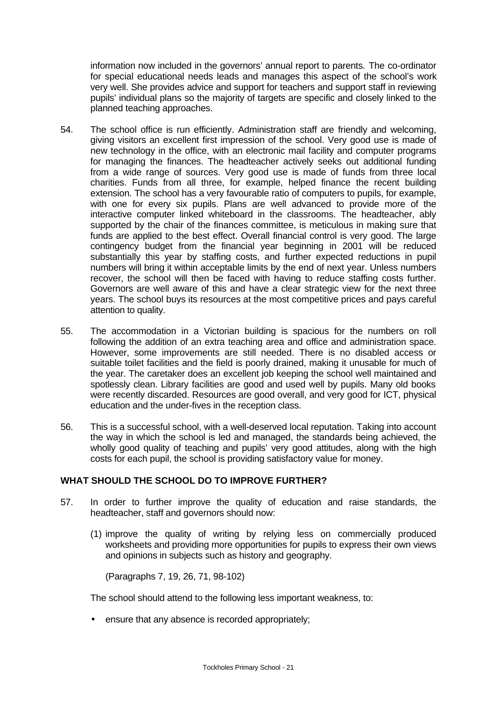information now included in the governors' annual report to parents. The co-ordinator for special educational needs leads and manages this aspect of the school's work very well. She provides advice and support for teachers and support staff in reviewing pupils' individual plans so the majority of targets are specific and closely linked to the planned teaching approaches.

- 54. The school office is run efficiently. Administration staff are friendly and welcoming, giving visitors an excellent first impression of the school. Very good use is made of new technology in the office, with an electronic mail facility and computer programs for managing the finances. The headteacher actively seeks out additional funding from a wide range of sources. Very good use is made of funds from three local charities. Funds from all three, for example, helped finance the recent building extension. The school has a very favourable ratio of computers to pupils, for example, with one for every six pupils. Plans are well advanced to provide more of the interactive computer linked whiteboard in the classrooms. The headteacher, ably supported by the chair of the finances committee, is meticulous in making sure that funds are applied to the best effect. Overall financial control is very good. The large contingency budget from the financial year beginning in 2001 will be reduced substantially this year by staffing costs, and further expected reductions in pupil numbers will bring it within acceptable limits by the end of next year. Unless numbers recover, the school will then be faced with having to reduce staffing costs further. Governors are well aware of this and have a clear strategic view for the next three years. The school buys its resources at the most competitive prices and pays careful attention to quality.
- 55. The accommodation in a Victorian building is spacious for the numbers on roll following the addition of an extra teaching area and office and administration space. However, some improvements are still needed. There is no disabled access or suitable toilet facilities and the field is poorly drained, making it unusable for much of the year. The caretaker does an excellent job keeping the school well maintained and spotlessly clean. Library facilities are good and used well by pupils. Many old books were recently discarded. Resources are good overall, and very good for ICT, physical education and the under-fives in the reception class.
- 56. This is a successful school, with a well-deserved local reputation. Taking into account the way in which the school is led and managed, the standards being achieved, the wholly good quality of teaching and pupils' very good attitudes, along with the high costs for each pupil, the school is providing satisfactory value for money.

### **WHAT SHOULD THE SCHOOL DO TO IMPROVE FURTHER?**

- 57. In order to further improve the quality of education and raise standards, the headteacher, staff and governors should now:
	- (1) improve the quality of writing by relying less on commercially produced worksheets and providing more opportunities for pupils to express their own views and opinions in subjects such as history and geography.

(Paragraphs 7, 19, 26, 71, 98-102)

The school should attend to the following less important weakness, to:

• ensure that any absence is recorded appropriately;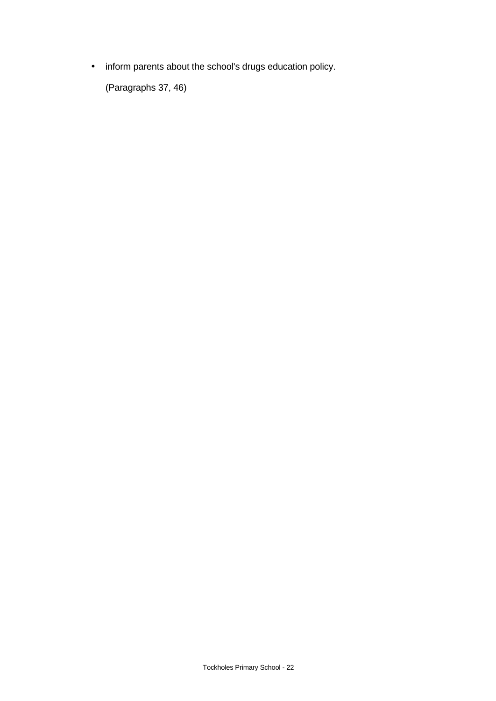• inform parents about the school's drugs education policy.

(Paragraphs 37, 46)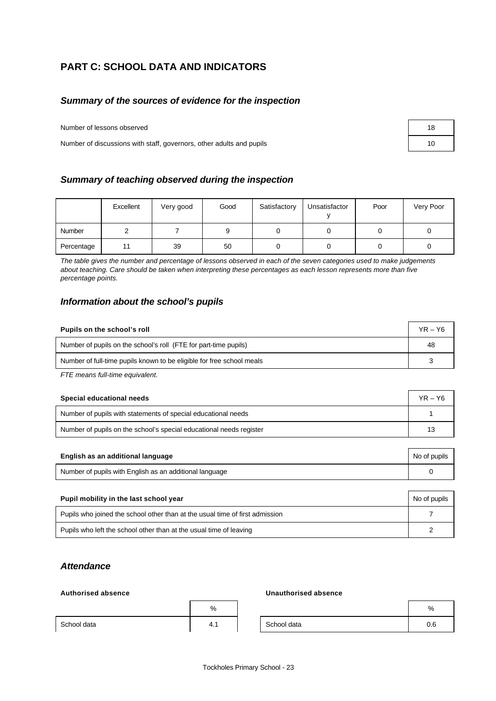# **PART C: SCHOOL DATA AND INDICATORS**

### *Summary of the sources of evidence for the inspection*

Number of lessons observed 18

Number of discussions with staff, governors, other adults and pupils 10

|  | Summary of teaching observed during the inspection |  |  |
|--|----------------------------------------------------|--|--|
|--|----------------------------------------------------|--|--|

|            | Excellent | Very good | Good | Satisfactory | Unsatisfactor | Poor | Very Poor |
|------------|-----------|-----------|------|--------------|---------------|------|-----------|
| Number     |           |           | 9    |              |               |      |           |
| Percentage |           | 39        | 50   |              |               |      |           |

*The table gives the number and percentage of lessons observed in each of the seven categories used to make judgements about teaching. Care should be taken when interpreting these percentages as each lesson represents more than five percentage points.*

### *Information about the school's pupils*

| Pupils on the school's roll                                           | $YR - Y6$ |
|-----------------------------------------------------------------------|-----------|
| Number of pupils on the school's roll (FTE for part-time pupils)      | 48        |
| Number of full-time pupils known to be eligible for free school meals | ີ         |

*FTE means full-time equivalent.*

| Special educational needs                                           | $YR - Y6$ |
|---------------------------------------------------------------------|-----------|
| Number of pupils with statements of special educational needs       |           |
| Number of pupils on the school's special educational needs register | 13        |

| English as an additional language                       | No of pupils |
|---------------------------------------------------------|--------------|
| Number of pupils with English as an additional language |              |
|                                                         |              |

| Pupil mobility in the last school year                                       | No of pupils |
|------------------------------------------------------------------------------|--------------|
| Pupils who joined the school other than at the usual time of first admission |              |
| Pupils who left the school other than at the usual time of leaving           |              |

### *Attendance*

### **Authorised absence Unauthorised absence**

|             | %   |             | %        |
|-------------|-----|-------------|----------|
| School data | 4., | School data | ∼<br>v.o |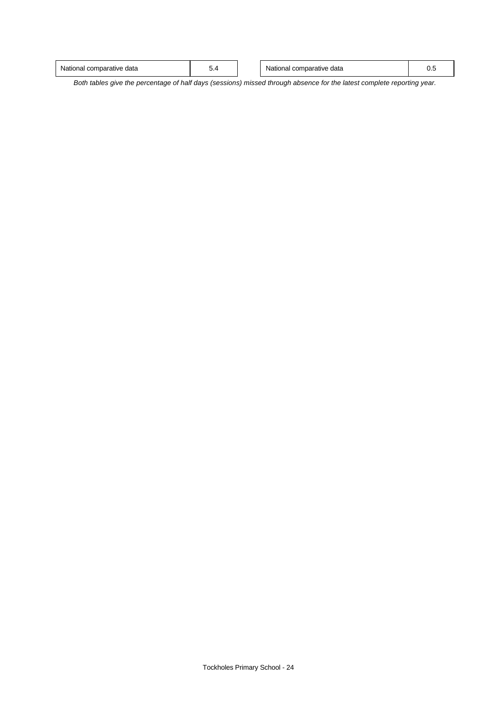| v.,<br>◡.⊣ | l comparative<br>` data<br>tionai | - |  | data<br>mparative<br>National<br>com |  |
|------------|-----------------------------------|---|--|--------------------------------------|--|
|------------|-----------------------------------|---|--|--------------------------------------|--|

*Both tables give the percentage of half days (sessions) missed through absence for the latest complete reporting year.*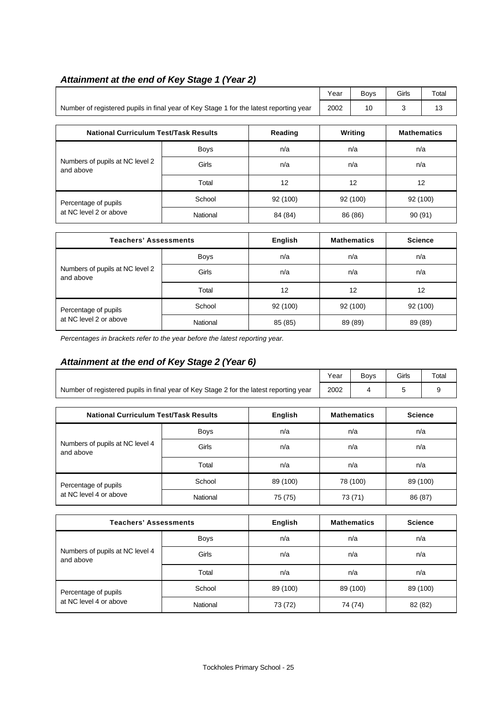# *Attainment at the end of Key Stage 1 (Year 2)*

|                                                                                        | Year | Bovs | Girls | Total |
|----------------------------------------------------------------------------------------|------|------|-------|-------|
| Number of registered pupils in final year of Key Stage 1 for the latest reporting year | 2002 |      |       |       |

| <b>National Curriculum Test/Task Results</b> |             | Reading  | Writing  | <b>Mathematics</b> |
|----------------------------------------------|-------------|----------|----------|--------------------|
|                                              | <b>Boys</b> | n/a      | n/a      | n/a                |
| Numbers of pupils at NC level 2<br>and above | Girls       | n/a      | n/a      | n/a                |
|                                              | Total       | 12       | 12       | 12                 |
| Percentage of pupils                         | School      | 92 (100) | 92 (100) | 92 (100)           |
| at NC level 2 or above                       | National    | 84 (84)  | 86 (86)  | 90 (91)            |

| <b>Teachers' Assessments</b>                 |             | English  | <b>Mathematics</b> | <b>Science</b> |
|----------------------------------------------|-------------|----------|--------------------|----------------|
|                                              | <b>Boys</b> | n/a      | n/a                | n/a            |
| Numbers of pupils at NC level 2<br>and above | Girls       | n/a      | n/a                | n/a            |
|                                              | Total       | 12       | 12                 | 12             |
| Percentage of pupils                         | School      | 92 (100) | 92 (100)           | 92 (100)       |
| at NC level 2 or above                       | National    | 85 (85)  | 89 (89)            | 89 (89)        |

*Percentages in brackets refer to the year before the latest reporting year.*

# *Attainment at the end of Key Stage 2 (Year 6)*

|                                                                                        |              |          |      | <b>Boys</b>        | Girls          | Total |
|----------------------------------------------------------------------------------------|--------------|----------|------|--------------------|----------------|-------|
| Number of registered pupils in final year of Key Stage 2 for the latest reporting year |              |          | 2002 | 4                  | 5              | 9     |
| <b>National Curriculum Test/Task Results</b><br>English                                |              |          |      | <b>Mathematics</b> | <b>Science</b> |       |
|                                                                                        |              |          |      |                    |                |       |
| Numbers of pupils at NC level 4<br>and above                                           | <b>Boys</b>  | n/a      | n/a  |                    | n/a            |       |
|                                                                                        | <b>Girls</b> | n/a      | n/a  |                    | n/a            |       |
|                                                                                        | Total        | n/a      |      | n/a<br>n/a         |                |       |
| Percentage of pupils                                                                   | School       | 89 (100) |      | 78 (100)           | 89 (100)       |       |
| at NC level 4 or above                                                                 | National     | 75 (75)  |      | 73 (71)            | 86 (87)        |       |

| <b>Teachers' Assessments</b>                 |          | English<br><b>Mathematics</b> |          | <b>Science</b> |  |
|----------------------------------------------|----------|-------------------------------|----------|----------------|--|
|                                              | Boys     | n/a                           | n/a      | n/a            |  |
| Numbers of pupils at NC level 4<br>and above | Girls    | n/a                           | n/a      | n/a            |  |
|                                              | Total    | n/a                           | n/a      | n/a            |  |
| Percentage of pupils                         | School   | 89 (100)                      | 89 (100) | 89 (100)       |  |
| at NC level 4 or above                       | National | 73 (72)                       | 74 (74)  | 82 (82)        |  |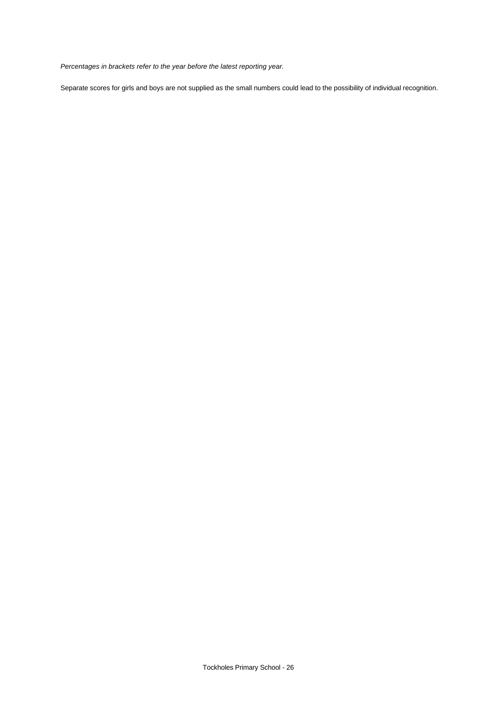*Percentages in brackets refer to the year before the latest reporting year.*

Separate scores for girls and boys are not supplied as the small numbers could lead to the possibility of individual recognition.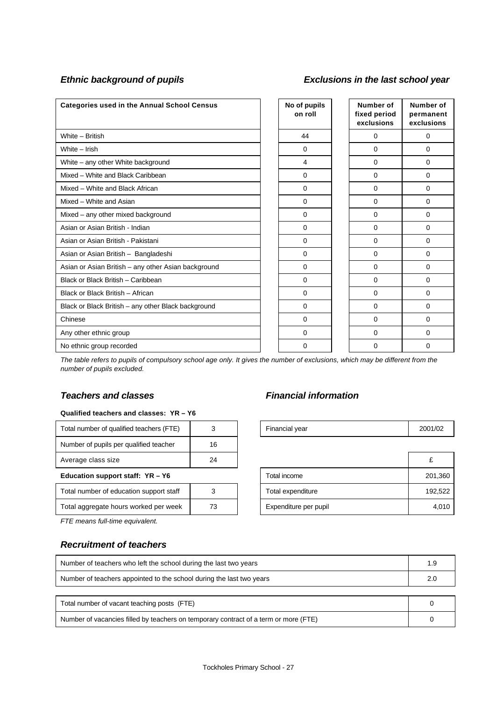## *Ethnic background of pupils Exclusions in the last school year*

| <b>Categories used in the Annual School Census</b>  | No of pupils<br>on roll | Number of<br>fixed period<br>exclusions | Number of<br>permanent<br>exclusions |
|-----------------------------------------------------|-------------------------|-----------------------------------------|--------------------------------------|
| White - British                                     | 44                      | 0                                       | 0                                    |
| White - Irish                                       | 0                       | 0                                       | 0                                    |
| White - any other White background                  | 4                       | 0                                       | 0                                    |
| Mixed - White and Black Caribbean                   | $\Omega$                | 0                                       | $\Omega$                             |
| Mixed - White and Black African                     | $\mathbf 0$             | 0                                       | 0                                    |
| Mixed - White and Asian                             | $\Omega$                | 0                                       | 0                                    |
| Mixed - any other mixed background                  | $\Omega$                | 0                                       | 0                                    |
| Asian or Asian British - Indian                     | $\Omega$                | $\Omega$                                | 0                                    |
| Asian or Asian British - Pakistani                  | $\Omega$                | $\Omega$                                | 0                                    |
| Asian or Asian British - Bangladeshi                | $\mathbf 0$             | $\Omega$                                | $\Omega$                             |
| Asian or Asian British - any other Asian background | $\Omega$                | 0                                       | 0                                    |
| Black or Black British - Caribbean                  | $\Omega$                | 0                                       | 0                                    |
| Black or Black British - African                    | $\mathbf 0$             | $\Omega$                                | 0                                    |
| Black or Black British - any other Black background | $\mathbf 0$             | 0                                       | 0                                    |
| Chinese                                             | $\mathbf 0$             | $\Omega$                                | 0                                    |
| Any other ethnic group                              | $\Omega$                | $\Omega$                                | 0                                    |
| No ethnic group recorded                            | $\Omega$                | 0                                       | 0                                    |

*The table refers to pupils of compulsory school age only. It gives the number of exclusions, which may be different from the number of pupils excluded.*

### *Teachers and classes Financial information*

### **Qualified teachers and classes: YR – Y6**

| Total number of qualified teachers (FTE) |    | Financial year        | 2001 |
|------------------------------------------|----|-----------------------|------|
| Number of pupils per qualified teacher   | 16 |                       |      |
| Average class size                       | 24 |                       | £    |
| Education support staff: $YR - Y6$       |    | Total income          | 20   |
| Total number of education support staff  |    | Total expenditure     | 19   |
| Total aggregate hours worked per week    | 73 | Expenditure per pupil |      |

*FTE means full-time equivalent.*

### *Recruitment of teachers*

| <br>$\overline{\phantom{a}}$<br>Total number of qualified teachers<br>. . |  | --<br>Financial vear | $\overline{101}$<br>2001.<br>704 |
|---------------------------------------------------------------------------|--|----------------------|----------------------------------|
|                                                                           |  |                      |                                  |

| Average class size                      | 24 |                       |         |
|-----------------------------------------|----|-----------------------|---------|
| Education support staff: YR - Y6        |    | Total income          | 201,360 |
| Total number of education support staff |    | Total expenditure     | 192,522 |
| Total aggregate hours worked per week   | 73 | Expenditure per pupil | 4.010   |

| Number of teachers who left the school during the last two years                     |  |
|--------------------------------------------------------------------------------------|--|
| Number of teachers appointed to the school during the last two years                 |  |
|                                                                                      |  |
| Total number of vacant teaching posts (FTE)                                          |  |
| Number of vacancies filled by teachers on temporary contract of a term or more (FTE) |  |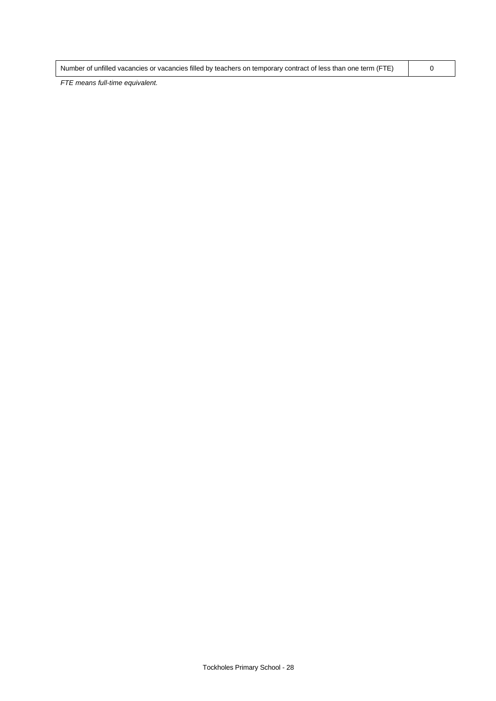| Number of unfilled vacancies or vacancies filled by teachers on temporary contract of less than one term (FTE) |  |
|----------------------------------------------------------------------------------------------------------------|--|
|                                                                                                                |  |

*FTE means full-time equivalent.*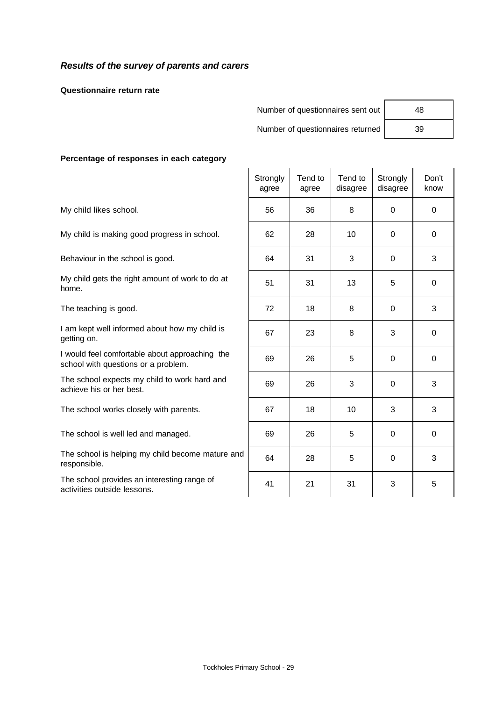## *Results of the survey of parents and carers*

**Questionnaire return rate**

Number of questionnaires sent out

Number of questionnaires returned

| 48 |  |
|----|--|
| 39 |  |

### **Percentage of responses in each category**

|                                                                                       | Strongly<br>agree | Tend to<br>agree | Tend to<br>disagree | Strongly<br>disagree | Don't<br>know |
|---------------------------------------------------------------------------------------|-------------------|------------------|---------------------|----------------------|---------------|
| My child likes school.                                                                | 56                | 36               | 8                   | $\Omega$             | $\mathbf 0$   |
| My child is making good progress in school.                                           | 62                | 28               | 10                  | $\Omega$             | 0             |
| Behaviour in the school is good.                                                      | 64                | 31               | 3                   | 0                    | 3             |
| My child gets the right amount of work to do at<br>home.                              | 51                | 31               | 13                  | 5                    | $\mathbf 0$   |
| The teaching is good.                                                                 | 72                | 18               | 8                   | $\Omega$             | 3             |
| I am kept well informed about how my child is<br>getting on.                          | 67                | 23               | 8                   | 3                    | 0             |
| I would feel comfortable about approaching the<br>school with questions or a problem. | 69                | 26               | 5                   | $\mathbf 0$          | $\mathbf 0$   |
| The school expects my child to work hard and<br>achieve his or her best.              | 69                | 26               | 3                   | $\mathbf 0$          | 3             |
| The school works closely with parents.                                                | 67                | 18               | 10                  | 3                    | 3             |
| The school is well led and managed.                                                   | 69                | 26               | 5                   | $\Omega$             | 0             |
| The school is helping my child become mature and<br>responsible.                      | 64                | 28               | 5                   | $\mathbf 0$          | 3             |
| The school provides an interesting range of<br>activities outside lessons.            | 41                | 21               | 31                  | 3                    | 5             |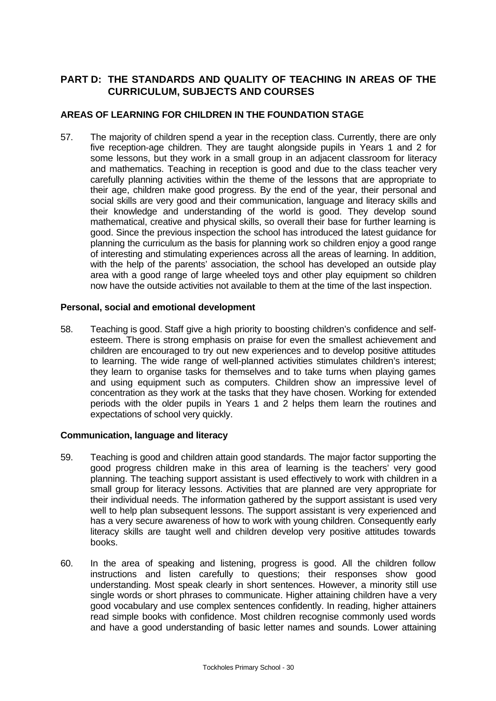## **PART D: THE STANDARDS AND QUALITY OF TEACHING IN AREAS OF THE CURRICULUM, SUBJECTS AND COURSES**

## **AREAS OF LEARNING FOR CHILDREN IN THE FOUNDATION STAGE**

57. The majority of children spend a year in the reception class. Currently, there are only five reception-age children. They are taught alongside pupils in Years 1 and 2 for some lessons, but they work in a small group in an adjacent classroom for literacy and mathematics. Teaching in reception is good and due to the class teacher very carefully planning activities within the theme of the lessons that are appropriate to their age, children make good progress. By the end of the year, their personal and social skills are very good and their communication, language and literacy skills and their knowledge and understanding of the world is good. They develop sound mathematical, creative and physical skills, so overall their base for further learning is good. Since the previous inspection the school has introduced the latest guidance for planning the curriculum as the basis for planning work so children enjoy a good range of interesting and stimulating experiences across all the areas of learning. In addition, with the help of the parents' association, the school has developed an outside play area with a good range of large wheeled toys and other play equipment so children now have the outside activities not available to them at the time of the last inspection.

### **Personal, social and emotional development**

58. Teaching is good. Staff give a high priority to boosting children's confidence and selfesteem. There is strong emphasis on praise for even the smallest achievement and children are encouraged to try out new experiences and to develop positive attitudes to learning. The wide range of well-planned activities stimulates children's interest; they learn to organise tasks for themselves and to take turns when playing games and using equipment such as computers. Children show an impressive level of concentration as they work at the tasks that they have chosen. Working for extended periods with the older pupils in Years 1 and 2 helps them learn the routines and expectations of school very quickly.

### **Communication, language and literacy**

- 59. Teaching is good and children attain good standards. The major factor supporting the good progress children make in this area of learning is the teachers' very good planning. The teaching support assistant is used effectively to work with children in a small group for literacy lessons. Activities that are planned are very appropriate for their individual needs. The information gathered by the support assistant is used very well to help plan subsequent lessons. The support assistant is very experienced and has a very secure awareness of how to work with young children. Consequently early literacy skills are taught well and children develop very positive attitudes towards books.
- 60. In the area of speaking and listening, progress is good. All the children follow instructions and listen carefully to questions; their responses show good understanding. Most speak clearly in short sentences. However, a minority still use single words or short phrases to communicate. Higher attaining children have a very good vocabulary and use complex sentences confidently. In reading, higher attainers read simple books with confidence. Most children recognise commonly used words and have a good understanding of basic letter names and sounds. Lower attaining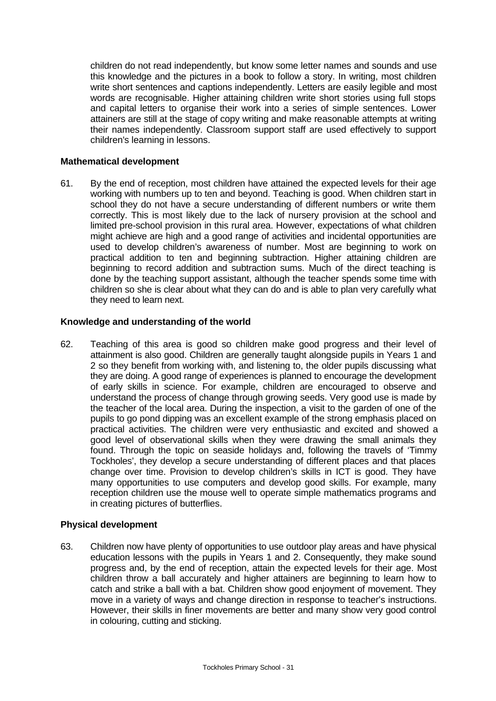children do not read independently, but know some letter names and sounds and use this knowledge and the pictures in a book to follow a story. In writing, most children write short sentences and captions independently. Letters are easily legible and most words are recognisable. Higher attaining children write short stories using full stops and capital letters to organise their work into a series of simple sentences. Lower attainers are still at the stage of copy writing and make reasonable attempts at writing their names independently. Classroom support staff are used effectively to support children's learning in lessons.

### **Mathematical development**

61. By the end of reception, most children have attained the expected levels for their age working with numbers up to ten and beyond. Teaching is good. When children start in school they do not have a secure understanding of different numbers or write them correctly. This is most likely due to the lack of nursery provision at the school and limited pre-school provision in this rural area. However, expectations of what children might achieve are high and a good range of activities and incidental opportunities are used to develop children's awareness of number. Most are beginning to work on practical addition to ten and beginning subtraction. Higher attaining children are beginning to record addition and subtraction sums. Much of the direct teaching is done by the teaching support assistant, although the teacher spends some time with children so she is clear about what they can do and is able to plan very carefully what they need to learn next.

### **Knowledge and understanding of the world**

62. Teaching of this area is good so children make good progress and their level of attainment is also good. Children are generally taught alongside pupils in Years 1 and 2 so they benefit from working with, and listening to, the older pupils discussing what they are doing. A good range of experiences is planned to encourage the development of early skills in science. For example, children are encouraged to observe and understand the process of change through growing seeds. Very good use is made by the teacher of the local area. During the inspection, a visit to the garden of one of the pupils to go pond dipping was an excellent example of the strong emphasis placed on practical activities. The children were very enthusiastic and excited and showed a good level of observational skills when they were drawing the small animals they found. Through the topic on seaside holidays and, following the travels of 'Timmy Tockholes', they develop a secure understanding of different places and that places change over time. Provision to develop children's skills in ICT is good. They have many opportunities to use computers and develop good skills. For example, many reception children use the mouse well to operate simple mathematics programs and in creating pictures of butterflies.

### **Physical development**

63. Children now have plenty of opportunities to use outdoor play areas and have physical education lessons with the pupils in Years 1 and 2. Consequently, they make sound progress and, by the end of reception, attain the expected levels for their age. Most children throw a ball accurately and higher attainers are beginning to learn how to catch and strike a ball with a bat. Children show good enjoyment of movement. They move in a variety of ways and change direction in response to teacher's instructions. However, their skills in finer movements are better and many show very good control in colouring, cutting and sticking.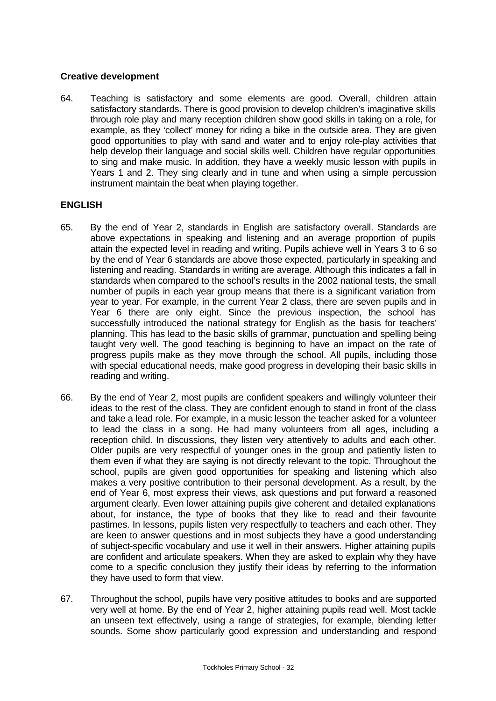### **Creative development**

64. Teaching is satisfactory and some elements are good. Overall, children attain satisfactory standards. There is good provision to develop children's imaginative skills through role play and many reception children show good skills in taking on a role, for example, as they 'collect' money for riding a bike in the outside area. They are given good opportunities to play with sand and water and to enjoy role-play activities that help develop their language and social skills well. Children have regular opportunities to sing and make music. In addition, they have a weekly music lesson with pupils in Years 1 and 2. They sing clearly and in tune and when using a simple percussion instrument maintain the beat when playing together.

### **ENGLISH**

- 65. By the end of Year 2, standards in English are satisfactory overall. Standards are above expectations in speaking and listening and an average proportion of pupils attain the expected level in reading and writing. Pupils achieve well in Years 3 to 6 so by the end of Year 6 standards are above those expected, particularly in speaking and listening and reading. Standards in writing are average. Although this indicates a fall in standards when compared to the school's results in the 2002 national tests, the small number of pupils in each year group means that there is a significant variation from year to year. For example, in the current Year 2 class, there are seven pupils and in Year 6 there are only eight. Since the previous inspection, the school has successfully introduced the national strategy for English as the basis for teachers' planning. This has lead to the basic skills of grammar, punctuation and spelling being taught very well. The good teaching is beginning to have an impact on the rate of progress pupils make as they move through the school. All pupils, including those with special educational needs, make good progress in developing their basic skills in reading and writing.
- 66. By the end of Year 2, most pupils are confident speakers and willingly volunteer their ideas to the rest of the class. They are confident enough to stand in front of the class and take a lead role. For example, in a music lesson the teacher asked for a volunteer to lead the class in a song. He had many volunteers from all ages, including a reception child. In discussions, they listen very attentively to adults and each other. Older pupils are very respectful of younger ones in the group and patiently listen to them even if what they are saying is not directly relevant to the topic. Throughout the school, pupils are given good opportunities for speaking and listening which also makes a very positive contribution to their personal development. As a result, by the end of Year 6, most express their views, ask questions and put forward a reasoned argument clearly. Even lower attaining pupils give coherent and detailed explanations about, for instance, the type of books that they like to read and their favourite pastimes. In lessons, pupils listen very respectfully to teachers and each other. They are keen to answer questions and in most subjects they have a good understanding of subject-specific vocabulary and use it well in their answers. Higher attaining pupils are confident and articulate speakers. When they are asked to explain why they have come to a specific conclusion they justify their ideas by referring to the information they have used to form that view.
- 67. Throughout the school, pupils have very positive attitudes to books and are supported very well at home. By the end of Year 2, higher attaining pupils read well. Most tackle an unseen text effectively, using a range of strategies, for example, blending letter sounds. Some show particularly good expression and understanding and respond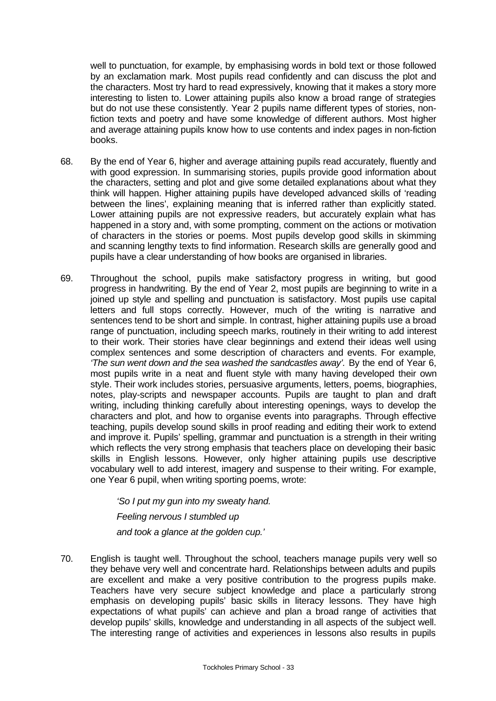well to punctuation, for example, by emphasising words in bold text or those followed by an exclamation mark. Most pupils read confidently and can discuss the plot and the characters. Most try hard to read expressively, knowing that it makes a story more interesting to listen to. Lower attaining pupils also know a broad range of strategies but do not use these consistently. Year 2 pupils name different types of stories, nonfiction texts and poetry and have some knowledge of different authors. Most higher and average attaining pupils know how to use contents and index pages in non-fiction books.

- 68. By the end of Year 6, higher and average attaining pupils read accurately, fluently and with good expression. In summarising stories, pupils provide good information about the characters, setting and plot and give some detailed explanations about what they think will happen. Higher attaining pupils have developed advanced skills of 'reading between the lines', explaining meaning that is inferred rather than explicitly stated. Lower attaining pupils are not expressive readers, but accurately explain what has happened in a story and, with some prompting, comment on the actions or motivation of characters in the stories or poems. Most pupils develop good skills in skimming and scanning lengthy texts to find information. Research skills are generally good and pupils have a clear understanding of how books are organised in libraries.
- 69. Throughout the school, pupils make satisfactory progress in writing, but good progress in handwriting. By the end of Year 2, most pupils are beginning to write in a joined up style and spelling and punctuation is satisfactory. Most pupils use capital letters and full stops correctly. However, much of the writing is narrative and sentences tend to be short and simple. In contrast, higher attaining pupils use a broad range of punctuation, including speech marks, routinely in their writing to add interest to their work. Their stories have clear beginnings and extend their ideas well using complex sentences and some description of characters and events. For example*, 'The sun went down and the sea washed the sandcastles away'.* By the end of Year 6, most pupils write in a neat and fluent style with many having developed their own style. Their work includes stories, persuasive arguments, letters, poems, biographies, notes, play-scripts and newspaper accounts. Pupils are taught to plan and draft writing, including thinking carefully about interesting openings, ways to develop the characters and plot, and how to organise events into paragraphs. Through effective teaching, pupils develop sound skills in proof reading and editing their work to extend and improve it. Pupils' spelling, grammar and punctuation is a strength in their writing which reflects the very strong emphasis that teachers place on developing their basic skills in English lessons. However, only higher attaining pupils use descriptive vocabulary well to add interest, imagery and suspense to their writing. For example, one Year 6 pupil, when writing sporting poems, wrote:

*'So I put my gun into my sweaty hand. Feeling nervous I stumbled up*

*and took a glance at the golden cup.'*

70. English is taught well. Throughout the school, teachers manage pupils very well so they behave very well and concentrate hard. Relationships between adults and pupils are excellent and make a very positive contribution to the progress pupils make. Teachers have very secure subject knowledge and place a particularly strong emphasis on developing pupils' basic skills in literacy lessons. They have high expectations of what pupils' can achieve and plan a broad range of activities that develop pupils' skills, knowledge and understanding in all aspects of the subject well. The interesting range of activities and experiences in lessons also results in pupils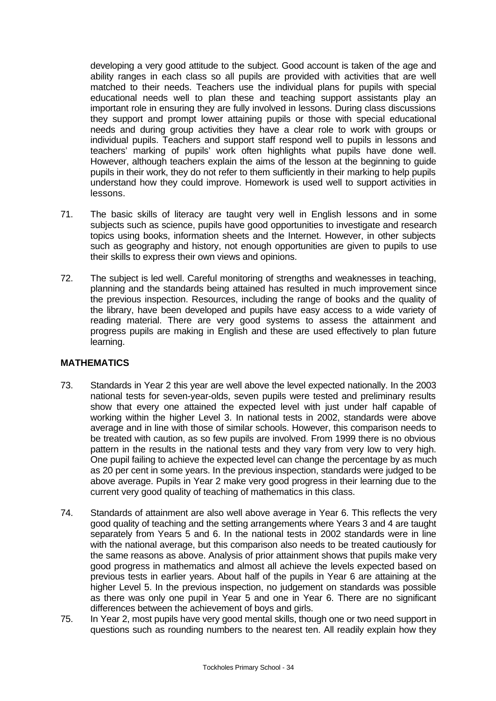developing a very good attitude to the subject. Good account is taken of the age and ability ranges in each class so all pupils are provided with activities that are well matched to their needs. Teachers use the individual plans for pupils with special educational needs well to plan these and teaching support assistants play an important role in ensuring they are fully involved in lessons. During class discussions they support and prompt lower attaining pupils or those with special educational needs and during group activities they have a clear role to work with groups or individual pupils. Teachers and support staff respond well to pupils in lessons and teachers' marking of pupils' work often highlights what pupils have done well. However, although teachers explain the aims of the lesson at the beginning to guide pupils in their work, they do not refer to them sufficiently in their marking to help pupils understand how they could improve. Homework is used well to support activities in lessons.

- 71. The basic skills of literacy are taught very well in English lessons and in some subjects such as science, pupils have good opportunities to investigate and research topics using books, information sheets and the Internet. However, in other subjects such as geography and history, not enough opportunities are given to pupils to use their skills to express their own views and opinions.
- 72. The subject is led well. Careful monitoring of strengths and weaknesses in teaching, planning and the standards being attained has resulted in much improvement since the previous inspection. Resources, including the range of books and the quality of the library, have been developed and pupils have easy access to a wide variety of reading material. There are very good systems to assess the attainment and progress pupils are making in English and these are used effectively to plan future learning.

### **MATHEMATICS**

- 73. Standards in Year 2 this year are well above the level expected nationally. In the 2003 national tests for seven-year-olds, seven pupils were tested and preliminary results show that every one attained the expected level with just under half capable of working within the higher Level 3. In national tests in 2002, standards were above average and in line with those of similar schools. However, this comparison needs to be treated with caution, as so few pupils are involved. From 1999 there is no obvious pattern in the results in the national tests and they vary from very low to very high. One pupil failing to achieve the expected level can change the percentage by as much as 20 per cent in some years. In the previous inspection, standards were judged to be above average. Pupils in Year 2 make very good progress in their learning due to the current very good quality of teaching of mathematics in this class.
- 74. Standards of attainment are also well above average in Year 6. This reflects the very good quality of teaching and the setting arrangements where Years 3 and 4 are taught separately from Years 5 and 6. In the national tests in 2002 standards were in line with the national average, but this comparison also needs to be treated cautiously for the same reasons as above. Analysis of prior attainment shows that pupils make very good progress in mathematics and almost all achieve the levels expected based on previous tests in earlier years. About half of the pupils in Year 6 are attaining at the higher Level 5. In the previous inspection, no judgement on standards was possible as there was only one pupil in Year 5 and one in Year 6. There are no significant differences between the achievement of boys and girls.
- 75. In Year 2, most pupils have very good mental skills, though one or two need support in questions such as rounding numbers to the nearest ten. All readily explain how they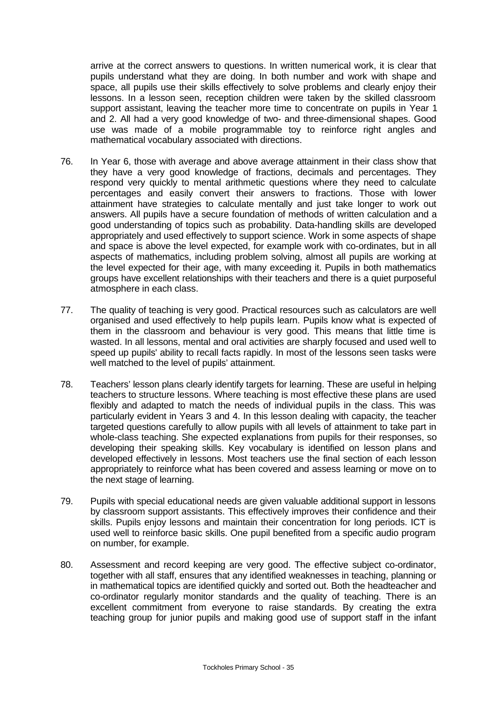arrive at the correct answers to questions. In written numerical work, it is clear that pupils understand what they are doing. In both number and work with shape and space, all pupils use their skills effectively to solve problems and clearly enjoy their lessons. In a lesson seen, reception children were taken by the skilled classroom support assistant, leaving the teacher more time to concentrate on pupils in Year 1 and 2. All had a very good knowledge of two- and three-dimensional shapes. Good use was made of a mobile programmable toy to reinforce right angles and mathematical vocabulary associated with directions.

- 76. In Year 6, those with average and above average attainment in their class show that they have a very good knowledge of fractions, decimals and percentages. They respond very quickly to mental arithmetic questions where they need to calculate percentages and easily convert their answers to fractions. Those with lower attainment have strategies to calculate mentally and just take longer to work out answers. All pupils have a secure foundation of methods of written calculation and a good understanding of topics such as probability. Data-handling skills are developed appropriately and used effectively to support science. Work in some aspects of shape and space is above the level expected, for example work with co-ordinates, but in all aspects of mathematics, including problem solving, almost all pupils are working at the level expected for their age, with many exceeding it. Pupils in both mathematics groups have excellent relationships with their teachers and there is a quiet purposeful atmosphere in each class.
- 77. The quality of teaching is very good. Practical resources such as calculators are well organised and used effectively to help pupils learn. Pupils know what is expected of them in the classroom and behaviour is very good. This means that little time is wasted. In all lessons, mental and oral activities are sharply focused and used well to speed up pupils' ability to recall facts rapidly. In most of the lessons seen tasks were well matched to the level of pupils' attainment.
- 78. Teachers' lesson plans clearly identify targets for learning. These are useful in helping teachers to structure lessons. Where teaching is most effective these plans are used flexibly and adapted to match the needs of individual pupils in the class. This was particularly evident in Years 3 and 4. In this lesson dealing with capacity, the teacher targeted questions carefully to allow pupils with all levels of attainment to take part in whole-class teaching. She expected explanations from pupils for their responses, so developing their speaking skills. Key vocabulary is identified on lesson plans and developed effectively in lessons. Most teachers use the final section of each lesson appropriately to reinforce what has been covered and assess learning or move on to the next stage of learning.
- 79. Pupils with special educational needs are given valuable additional support in lessons by classroom support assistants. This effectively improves their confidence and their skills. Pupils enjoy lessons and maintain their concentration for long periods. ICT is used well to reinforce basic skills. One pupil benefited from a specific audio program on number, for example.
- 80. Assessment and record keeping are very good. The effective subject co-ordinator, together with all staff, ensures that any identified weaknesses in teaching, planning or in mathematical topics are identified quickly and sorted out. Both the headteacher and co-ordinator regularly monitor standards and the quality of teaching. There is an excellent commitment from everyone to raise standards. By creating the extra teaching group for junior pupils and making good use of support staff in the infant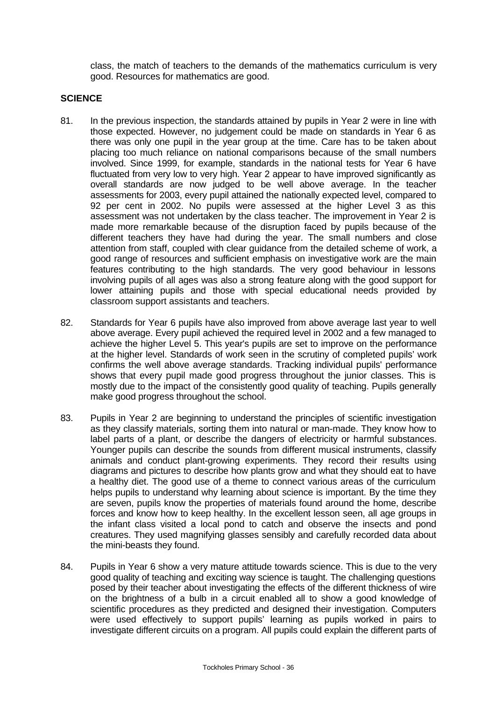class, the match of teachers to the demands of the mathematics curriculum is very good. Resources for mathematics are good.

### **SCIENCE**

- 81. In the previous inspection, the standards attained by pupils in Year 2 were in line with those expected. However, no judgement could be made on standards in Year 6 as there was only one pupil in the year group at the time. Care has to be taken about placing too much reliance on national comparisons because of the small numbers involved. Since 1999, for example, standards in the national tests for Year 6 have fluctuated from very low to very high. Year 2 appear to have improved significantly as overall standards are now judged to be well above average. In the teacher assessments for 2003, every pupil attained the nationally expected level, compared to 92 per cent in 2002. No pupils were assessed at the higher Level 3 as this assessment was not undertaken by the class teacher. The improvement in Year 2 is made more remarkable because of the disruption faced by pupils because of the different teachers they have had during the year. The small numbers and close attention from staff, coupled with clear guidance from the detailed scheme of work, a good range of resources and sufficient emphasis on investigative work are the main features contributing to the high standards. The very good behaviour in lessons involving pupils of all ages was also a strong feature along with the good support for lower attaining pupils and those with special educational needs provided by classroom support assistants and teachers.
- 82. Standards for Year 6 pupils have also improved from above average last year to well above average. Every pupil achieved the required level in 2002 and a few managed to achieve the higher Level 5. This year's pupils are set to improve on the performance at the higher level. Standards of work seen in the scrutiny of completed pupils' work confirms the well above average standards. Tracking individual pupils' performance shows that every pupil made good progress throughout the junior classes. This is mostly due to the impact of the consistently good quality of teaching. Pupils generally make good progress throughout the school.
- 83. Pupils in Year 2 are beginning to understand the principles of scientific investigation as they classify materials, sorting them into natural or man-made. They know how to label parts of a plant, or describe the dangers of electricity or harmful substances. Younger pupils can describe the sounds from different musical instruments, classify animals and conduct plant-growing experiments. They record their results using diagrams and pictures to describe how plants grow and what they should eat to have a healthy diet. The good use of a theme to connect various areas of the curriculum helps pupils to understand why learning about science is important. By the time they are seven, pupils know the properties of materials found around the home, describe forces and know how to keep healthy. In the excellent lesson seen, all age groups in the infant class visited a local pond to catch and observe the insects and pond creatures. They used magnifying glasses sensibly and carefully recorded data about the mini-beasts they found.
- 84. Pupils in Year 6 show a very mature attitude towards science. This is due to the very good quality of teaching and exciting way science is taught. The challenging questions posed by their teacher about investigating the effects of the different thickness of wire on the brightness of a bulb in a circuit enabled all to show a good knowledge of scientific procedures as they predicted and designed their investigation. Computers were used effectively to support pupils' learning as pupils worked in pairs to investigate different circuits on a program. All pupils could explain the different parts of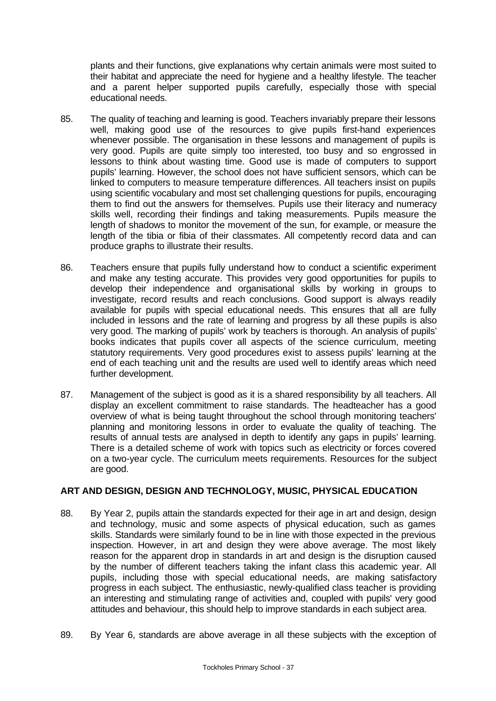plants and their functions, give explanations why certain animals were most suited to their habitat and appreciate the need for hygiene and a healthy lifestyle. The teacher and a parent helper supported pupils carefully, especially those with special educational needs.

- 85. The quality of teaching and learning is good. Teachers invariably prepare their lessons well, making good use of the resources to give pupils first-hand experiences whenever possible. The organisation in these lessons and management of pupils is very good. Pupils are quite simply too interested, too busy and so engrossed in lessons to think about wasting time. Good use is made of computers to support pupils' learning. However, the school does not have sufficient sensors, which can be linked to computers to measure temperature differences. All teachers insist on pupils using scientific vocabulary and most set challenging questions for pupils, encouraging them to find out the answers for themselves. Pupils use their literacy and numeracy skills well, recording their findings and taking measurements. Pupils measure the length of shadows to monitor the movement of the sun, for example, or measure the length of the tibia or fibia of their classmates. All competently record data and can produce graphs to illustrate their results.
- 86. Teachers ensure that pupils fully understand how to conduct a scientific experiment and make any testing accurate. This provides very good opportunities for pupils to develop their independence and organisational skills by working in groups to investigate, record results and reach conclusions. Good support is always readily available for pupils with special educational needs. This ensures that all are fully included in lessons and the rate of learning and progress by all these pupils is also very good. The marking of pupils' work by teachers is thorough. An analysis of pupils' books indicates that pupils cover all aspects of the science curriculum, meeting statutory requirements. Very good procedures exist to assess pupils' learning at the end of each teaching unit and the results are used well to identify areas which need further development.
- 87. Management of the subject is good as it is a shared responsibility by all teachers. All display an excellent commitment to raise standards. The headteacher has a good overview of what is being taught throughout the school through monitoring teachers' planning and monitoring lessons in order to evaluate the quality of teaching. The results of annual tests are analysed in depth to identify any gaps in pupils' learning. There is a detailed scheme of work with topics such as electricity or forces covered on a two-year cycle. The curriculum meets requirements. Resources for the subject are good.

### **ART AND DESIGN, DESIGN AND TECHNOLOGY, MUSIC, PHYSICAL EDUCATION**

- 88. By Year 2, pupils attain the standards expected for their age in art and design, design and technology, music and some aspects of physical education, such as games skills. Standards were similarly found to be in line with those expected in the previous inspection. However, in art and design they were above average. The most likely reason for the apparent drop in standards in art and design is the disruption caused by the number of different teachers taking the infant class this academic year. All pupils, including those with special educational needs, are making satisfactory progress in each subject. The enthusiastic, newly-qualified class teacher is providing an interesting and stimulating range of activities and, coupled with pupils' very good attitudes and behaviour, this should help to improve standards in each subject area.
- 89. By Year 6, standards are above average in all these subjects with the exception of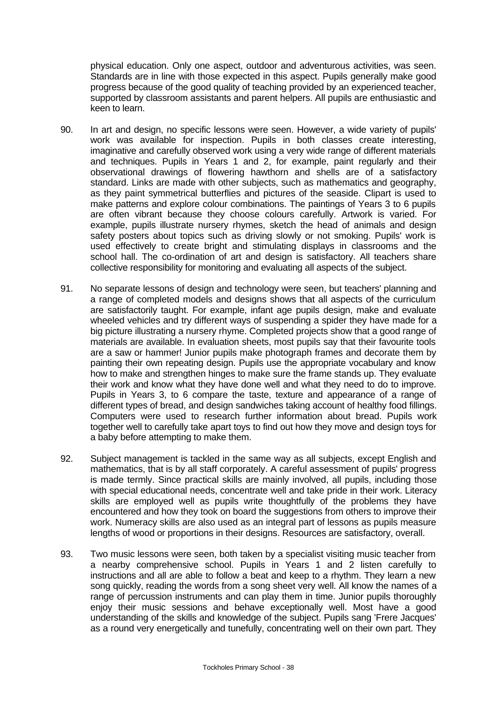physical education. Only one aspect, outdoor and adventurous activities, was seen. Standards are in line with those expected in this aspect. Pupils generally make good progress because of the good quality of teaching provided by an experienced teacher, supported by classroom assistants and parent helpers. All pupils are enthusiastic and keen to learn.

- 90. In art and design, no specific lessons were seen. However, a wide variety of pupils' work was available for inspection. Pupils in both classes create interesting, imaginative and carefully observed work using a very wide range of different materials and techniques. Pupils in Years 1 and 2, for example, paint regularly and their observational drawings of flowering hawthorn and shells are of a satisfactory standard. Links are made with other subjects, such as mathematics and geography, as they paint symmetrical butterflies and pictures of the seaside. Clipart is used to make patterns and explore colour combinations. The paintings of Years 3 to 6 pupils are often vibrant because they choose colours carefully. Artwork is varied. For example, pupils illustrate nursery rhymes, sketch the head of animals and design safety posters about topics such as driving slowly or not smoking. Pupils' work is used effectively to create bright and stimulating displays in classrooms and the school hall. The co-ordination of art and design is satisfactory. All teachers share collective responsibility for monitoring and evaluating all aspects of the subject.
- 91. No separate lessons of design and technology were seen, but teachers' planning and a range of completed models and designs shows that all aspects of the curriculum are satisfactorily taught. For example, infant age pupils design, make and evaluate wheeled vehicles and try different ways of suspending a spider they have made for a big picture illustrating a nursery rhyme. Completed projects show that a good range of materials are available. In evaluation sheets, most pupils say that their favourite tools are a saw or hammer! Junior pupils make photograph frames and decorate them by painting their own repeating design. Pupils use the appropriate vocabulary and know how to make and strengthen hinges to make sure the frame stands up. They evaluate their work and know what they have done well and what they need to do to improve. Pupils in Years 3, to 6 compare the taste, texture and appearance of a range of different types of bread, and design sandwiches taking account of healthy food fillings. Computers were used to research further information about bread. Pupils work together well to carefully take apart toys to find out how they move and design toys for a baby before attempting to make them.
- 92. Subject management is tackled in the same way as all subjects, except English and mathematics, that is by all staff corporately. A careful assessment of pupils' progress is made termly. Since practical skills are mainly involved, all pupils, including those with special educational needs, concentrate well and take pride in their work. Literacy skills are employed well as pupils write thoughtfully of the problems they have encountered and how they took on board the suggestions from others to improve their work. Numeracy skills are also used as an integral part of lessons as pupils measure lengths of wood or proportions in their designs. Resources are satisfactory, overall.
- 93. Two music lessons were seen, both taken by a specialist visiting music teacher from a nearby comprehensive school. Pupils in Years 1 and 2 listen carefully to instructions and all are able to follow a beat and keep to a rhythm. They learn a new song quickly, reading the words from a song sheet very well. All know the names of a range of percussion instruments and can play them in time. Junior pupils thoroughly enjoy their music sessions and behave exceptionally well. Most have a good understanding of the skills and knowledge of the subject. Pupils sang 'Frere Jacques' as a round very energetically and tunefully, concentrating well on their own part. They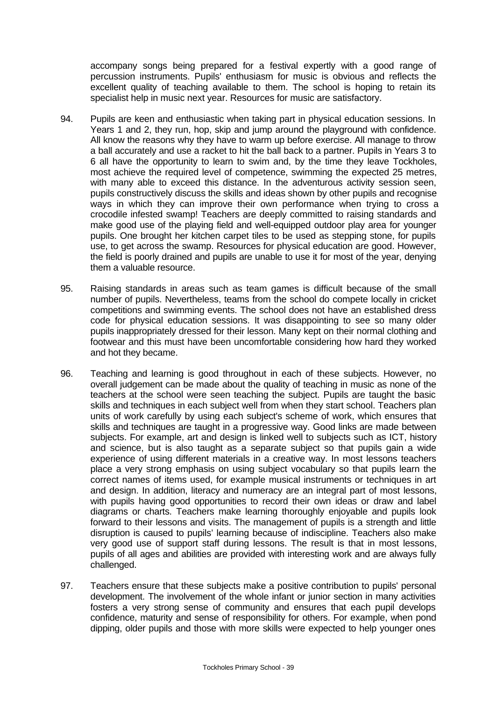accompany songs being prepared for a festival expertly with a good range of percussion instruments. Pupils' enthusiasm for music is obvious and reflects the excellent quality of teaching available to them. The school is hoping to retain its specialist help in music next year. Resources for music are satisfactory.

- 94. Pupils are keen and enthusiastic when taking part in physical education sessions. In Years 1 and 2, they run, hop, skip and jump around the playground with confidence. All know the reasons why they have to warm up before exercise. All manage to throw a ball accurately and use a racket to hit the ball back to a partner. Pupils in Years 3 to 6 all have the opportunity to learn to swim and, by the time they leave Tockholes, most achieve the required level of competence, swimming the expected 25 metres, with many able to exceed this distance. In the adventurous activity session seen, pupils constructively discuss the skills and ideas shown by other pupils and recognise ways in which they can improve their own performance when trying to cross a crocodile infested swamp! Teachers are deeply committed to raising standards and make good use of the playing field and well-equipped outdoor play area for younger pupils. One brought her kitchen carpet tiles to be used as stepping stone, for pupils use, to get across the swamp. Resources for physical education are good. However, the field is poorly drained and pupils are unable to use it for most of the year, denying them a valuable resource.
- 95. Raising standards in areas such as team games is difficult because of the small number of pupils. Nevertheless, teams from the school do compete locally in cricket competitions and swimming events. The school does not have an established dress code for physical education sessions. It was disappointing to see so many older pupils inappropriately dressed for their lesson. Many kept on their normal clothing and footwear and this must have been uncomfortable considering how hard they worked and hot they became.
- 96. Teaching and learning is good throughout in each of these subjects. However, no overall judgement can be made about the quality of teaching in music as none of the teachers at the school were seen teaching the subject. Pupils are taught the basic skills and techniques in each subject well from when they start school. Teachers plan units of work carefully by using each subject's scheme of work, which ensures that skills and techniques are taught in a progressive way. Good links are made between subjects. For example, art and design is linked well to subjects such as ICT, history and science, but is also taught as a separate subject so that pupils gain a wide experience of using different materials in a creative way. In most lessons teachers place a very strong emphasis on using subject vocabulary so that pupils learn the correct names of items used, for example musical instruments or techniques in art and design. In addition, literacy and numeracy are an integral part of most lessons, with pupils having good opportunities to record their own ideas or draw and label diagrams or charts. Teachers make learning thoroughly enjoyable and pupils look forward to their lessons and visits. The management of pupils is a strength and little disruption is caused to pupils' learning because of indiscipline. Teachers also make very good use of support staff during lessons. The result is that in most lessons, pupils of all ages and abilities are provided with interesting work and are always fully challenged.
- 97. Teachers ensure that these subjects make a positive contribution to pupils' personal development. The involvement of the whole infant or junior section in many activities fosters a very strong sense of community and ensures that each pupil develops confidence, maturity and sense of responsibility for others. For example, when pond dipping, older pupils and those with more skills were expected to help younger ones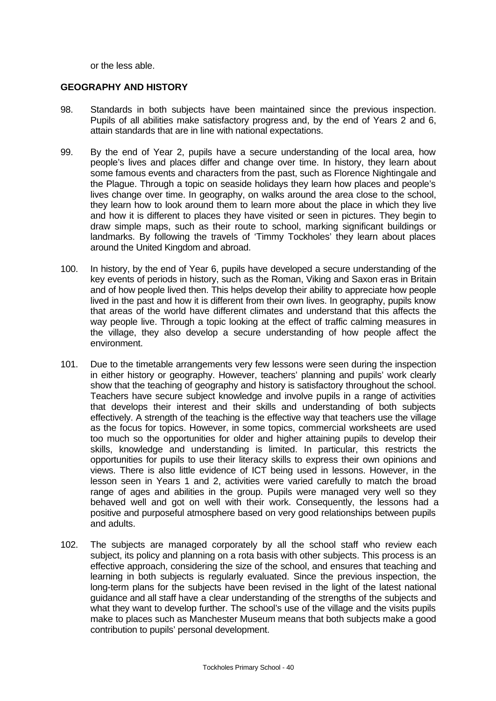or the less able.

### **GEOGRAPHY AND HISTORY**

- 98. Standards in both subjects have been maintained since the previous inspection. Pupils of all abilities make satisfactory progress and, by the end of Years 2 and 6, attain standards that are in line with national expectations.
- 99. By the end of Year 2, pupils have a secure understanding of the local area, how people's lives and places differ and change over time. In history, they learn about some famous events and characters from the past, such as Florence Nightingale and the Plague. Through a topic on seaside holidays they learn how places and people's lives change over time. In geography, on walks around the area close to the school, they learn how to look around them to learn more about the place in which they live and how it is different to places they have visited or seen in pictures. They begin to draw simple maps, such as their route to school, marking significant buildings or landmarks. By following the travels of 'Timmy Tockholes' they learn about places around the United Kingdom and abroad.
- 100. In history, by the end of Year 6, pupils have developed a secure understanding of the key events of periods in history, such as the Roman, Viking and Saxon eras in Britain and of how people lived then. This helps develop their ability to appreciate how people lived in the past and how it is different from their own lives. In geography, pupils know that areas of the world have different climates and understand that this affects the way people live. Through a topic looking at the effect of traffic calming measures in the village, they also develop a secure understanding of how people affect the environment.
- 101. Due to the timetable arrangements very few lessons were seen during the inspection in either history or geography. However, teachers' planning and pupils' work clearly show that the teaching of geography and history is satisfactory throughout the school. Teachers have secure subject knowledge and involve pupils in a range of activities that develops their interest and their skills and understanding of both subjects effectively. A strength of the teaching is the effective way that teachers use the village as the focus for topics. However, in some topics, commercial worksheets are used too much so the opportunities for older and higher attaining pupils to develop their skills, knowledge and understanding is limited. In particular, this restricts the opportunities for pupils to use their literacy skills to express their own opinions and views. There is also little evidence of ICT being used in lessons. However, in the lesson seen in Years 1 and 2, activities were varied carefully to match the broad range of ages and abilities in the group. Pupils were managed very well so they behaved well and got on well with their work. Consequently, the lessons had a positive and purposeful atmosphere based on very good relationships between pupils and adults.
- 102. The subjects are managed corporately by all the school staff who review each subject, its policy and planning on a rota basis with other subjects. This process is an effective approach, considering the size of the school, and ensures that teaching and learning in both subjects is regularly evaluated. Since the previous inspection, the long-term plans for the subjects have been revised in the light of the latest national guidance and all staff have a clear understanding of the strengths of the subjects and what they want to develop further. The school's use of the village and the visits pupils make to places such as Manchester Museum means that both subjects make a good contribution to pupils' personal development.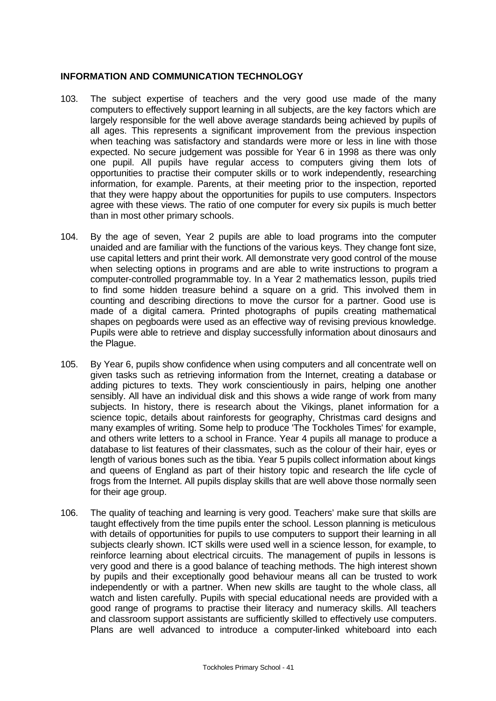### **INFORMATION AND COMMUNICATION TECHNOLOGY**

- 103. The subject expertise of teachers and the very good use made of the many computers to effectively support learning in all subjects, are the key factors which are largely responsible for the well above average standards being achieved by pupils of all ages. This represents a significant improvement from the previous inspection when teaching was satisfactory and standards were more or less in line with those expected. No secure judgement was possible for Year 6 in 1998 as there was only one pupil. All pupils have regular access to computers giving them lots of opportunities to practise their computer skills or to work independently, researching information, for example. Parents, at their meeting prior to the inspection, reported that they were happy about the opportunities for pupils to use computers. Inspectors agree with these views. The ratio of one computer for every six pupils is much better than in most other primary schools.
- 104. By the age of seven, Year 2 pupils are able to load programs into the computer unaided and are familiar with the functions of the various keys. They change font size, use capital letters and print their work. All demonstrate very good control of the mouse when selecting options in programs and are able to write instructions to program a computer-controlled programmable toy. In a Year 2 mathematics lesson, pupils tried to find some hidden treasure behind a square on a grid. This involved them in counting and describing directions to move the cursor for a partner. Good use is made of a digital camera. Printed photographs of pupils creating mathematical shapes on pegboards were used as an effective way of revising previous knowledge. Pupils were able to retrieve and display successfully information about dinosaurs and the Plague.
- 105. By Year 6, pupils show confidence when using computers and all concentrate well on given tasks such as retrieving information from the Internet, creating a database or adding pictures to texts. They work conscientiously in pairs, helping one another sensibly. All have an individual disk and this shows a wide range of work from many subjects. In history, there is research about the Vikings, planet information for a science topic, details about rainforests for geography, Christmas card designs and many examples of writing. Some help to produce 'The Tockholes Times' for example, and others write letters to a school in France. Year 4 pupils all manage to produce a database to list features of their classmates, such as the colour of their hair, eyes or length of various bones such as the tibia. Year 5 pupils collect information about kings and queens of England as part of their history topic and research the life cycle of frogs from the Internet. All pupils display skills that are well above those normally seen for their age group.
- 106. The quality of teaching and learning is very good. Teachers' make sure that skills are taught effectively from the time pupils enter the school. Lesson planning is meticulous with details of opportunities for pupils to use computers to support their learning in all subjects clearly shown. ICT skills were used well in a science lesson, for example, to reinforce learning about electrical circuits. The management of pupils in lessons is very good and there is a good balance of teaching methods. The high interest shown by pupils and their exceptionally good behaviour means all can be trusted to work independently or with a partner. When new skills are taught to the whole class, all watch and listen carefully. Pupils with special educational needs are provided with a good range of programs to practise their literacy and numeracy skills. All teachers and classroom support assistants are sufficiently skilled to effectively use computers. Plans are well advanced to introduce a computer-linked whiteboard into each